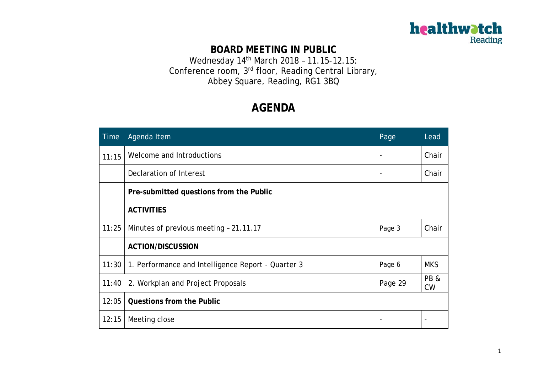

### **BOARD MEETING IN PUBLIC**

Wednesday 14th March 2018 – 11.15-12.15: Conference room, 3rd floor, Reading Central Library, Abbey Square, Reading, RG1 3BQ

### **AGENDA**

| Time  | Agenda Item                                        | Page                     | Lead             |
|-------|----------------------------------------------------|--------------------------|------------------|
| 11:15 | Welcome and Introductions                          | $\overline{\phantom{a}}$ | Chair            |
|       | Declaration of Interest                            | $\overline{\phantom{a}}$ | Chair            |
|       | Pre-submitted questions from the Public            |                          |                  |
|       | <b>ACTIVITIES</b>                                  |                          |                  |
| 11:25 | Minutes of previous meeting - 21.11.17             | Page 3                   | Chair            |
|       | <b>ACTION/DISCUSSION</b>                           |                          |                  |
| 11:30 | 1. Performance and Intelligence Report - Quarter 3 | Page 6                   | <b>MKS</b>       |
| 11:40 | 2. Workplan and Project Proposals                  | Page 29                  | PB&<br><b>CW</b> |
| 12:05 | <b>Questions from the Public</b>                   |                          |                  |
| 12:15 | Meeting close                                      | $\overline{\phantom{a}}$ |                  |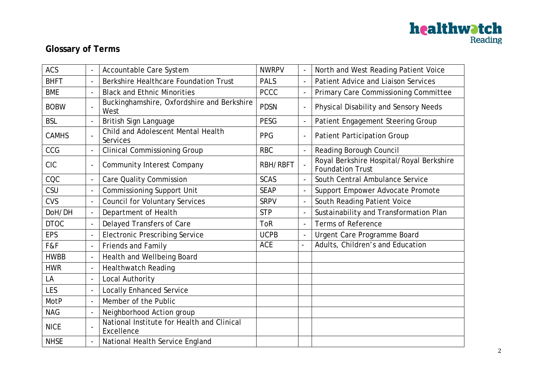

### **Glossary of Terms**

| <b>ACS</b>   |                          | Accountable Care System                                  | <b>NWRPV</b>    |                          | North and West Reading Patient Voice                                |
|--------------|--------------------------|----------------------------------------------------------|-----------------|--------------------------|---------------------------------------------------------------------|
| <b>BHFT</b>  | $\blacksquare$           | <b>Berkshire Healthcare Foundation Trust</b>             | <b>PALS</b>     | $\sim$                   | <b>Patient Advice and Liaison Services</b>                          |
| <b>BME</b>   |                          | <b>Black and Ethnic Minorities</b>                       | <b>PCCC</b>     | $\overline{a}$           | <b>Primary Care Commissioning Committee</b>                         |
| <b>BOBW</b>  | $\overline{\phantom{a}}$ | Buckinghamshire, Oxfordshire and Berkshire<br>West       | <b>PDSN</b>     | $\overline{a}$           | Physical Disability and Sensory Needs                               |
| <b>BSL</b>   | $\blacksquare$           | British Sign Language                                    | <b>PESG</b>     | $\overline{\phantom{a}}$ | Patient Engagement Steering Group                                   |
| <b>CAMHS</b> |                          | Child and Adolescent Mental Health<br>Services           | <b>PPG</b>      | $\overline{\phantom{a}}$ | <b>Patient Participation Group</b>                                  |
| CCG          |                          | <b>Clinical Commissioning Group</b>                      | <b>RBC</b>      |                          | <b>Reading Borough Council</b>                                      |
| <b>CIC</b>   | $\overline{\phantom{a}}$ | <b>Community Interest Company</b>                        | <b>RBH/RBFT</b> |                          | Royal Berkshire Hospital/Royal Berkshire<br><b>Foundation Trust</b> |
| CQC          | $\overline{\phantom{a}}$ | <b>Care Quality Commission</b>                           | <b>SCAS</b>     | $\overline{\phantom{a}}$ | South Central Ambulance Service                                     |
| CSU          | $\overline{\phantom{a}}$ | <b>Commissioning Support Unit</b>                        | <b>SEAP</b>     | $\overline{\phantom{a}}$ | Support Empower Advocate Promote                                    |
| <b>CVS</b>   | $\blacksquare$           | <b>Council for Voluntary Services</b>                    | <b>SRPV</b>     | $\overline{\phantom{a}}$ | South Reading Patient Voice                                         |
| DoH/DH       | $\blacksquare$           | Department of Health                                     | <b>STP</b>      | $\blacksquare$           | Sustainability and Transformation Plan                              |
| <b>DTOC</b>  | $\blacksquare$           | Delayed Transfers of Care                                | <b>ToR</b>      | $\sim$                   | <b>Terms of Reference</b>                                           |
| <b>EPS</b>   | $\overline{\phantom{a}}$ | <b>Electronic Prescribing Service</b>                    | <b>UCPB</b>     | $\sim$                   | Urgent Care Programme Board                                         |
| F&F          | $\overline{\phantom{a}}$ | Friends and Family                                       | <b>ACE</b>      | $\blacksquare$           | Adults, Children's and Education                                    |
| <b>HWBB</b>  | $\overline{\phantom{a}}$ | Health and Wellbeing Board                               |                 |                          |                                                                     |
| <b>HWR</b>   | $\overline{\phantom{a}}$ | <b>Healthwatch Reading</b>                               |                 |                          |                                                                     |
| LA           | $\overline{\phantom{a}}$ | Local Authority                                          |                 |                          |                                                                     |
| <b>LES</b>   | $\overline{\phantom{a}}$ | <b>Locally Enhanced Service</b>                          |                 |                          |                                                                     |
| MotP         | $\overline{\phantom{a}}$ | Member of the Public                                     |                 |                          |                                                                     |
| <b>NAG</b>   | $\blacksquare$           | Neighborhood Action group                                |                 |                          |                                                                     |
| <b>NICE</b>  | $\blacksquare$           | National Institute for Health and Clinical<br>Excellence |                 |                          |                                                                     |
| <b>NHSE</b>  | $\blacksquare$           | National Health Service England                          |                 |                          |                                                                     |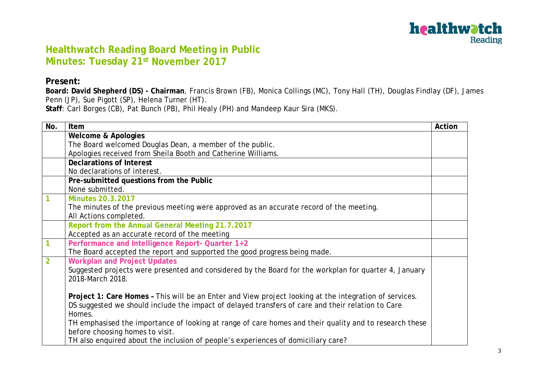

### **Healthwatch Reading Board Meeting in Public Minutes: Tuesday 21st November 2017**

### **Present:**

**Board: David Shepherd (DS) - Chairman**, Francis Brown (FB), Monica Collings (MC), Tony Hall (TH), Douglas Findlay (DF), James Penn (JP), Sue Pigott (SP), Helena Turner (HT).

**Staff**: Carl Borges (CB), Pat Bunch (PB), Phil Healy (PH) and Mandeep Kaur Sira (MKS).

| No.            | <b>Item</b>                                                                                            | Action |
|----------------|--------------------------------------------------------------------------------------------------------|--------|
|                | <b>Welcome &amp; Apologies</b>                                                                         |        |
|                | The Board welcomed Douglas Dean, a member of the public.                                               |        |
|                | Apologies received from Sheila Booth and Catherine Williams.                                           |        |
|                | Declarations of Interest                                                                               |        |
|                | No declarations of interest.                                                                           |        |
|                | Pre-submitted questions from the Public                                                                |        |
|                | None submitted.                                                                                        |        |
| 1              | <b>Minutes 20.3.2017</b>                                                                               |        |
|                | The minutes of the previous meeting were approved as an accurate record of the meeting.                |        |
|                | All Actions completed.                                                                                 |        |
|                | Report from the Annual General Meeting 21.7.2017                                                       |        |
|                | Accepted as an accurate record of the meeting                                                          |        |
| $\mathbf{1}$   | Performance and Intelligence Report- Quarter 1+2                                                       |        |
|                | The Board accepted the report and supported the good progress being made.                              |        |
| $\overline{2}$ | <b>Workplan and Project Updates</b>                                                                    |        |
|                | Suggested projects were presented and considered by the Board for the workplan for quarter 4, January  |        |
|                | 2018-March 2018.                                                                                       |        |
|                |                                                                                                        |        |
|                | Project 1: Care Homes - This will be an Enter and View project looking at the integration of services. |        |
|                | DS suggested we should include the impact of delayed transfers of care and their relation to Care      |        |
|                | Homes.                                                                                                 |        |
|                | TH emphasised the importance of looking at range of care homes and their quality and to research these |        |
|                | before choosing homes to visit.                                                                        |        |
|                | TH also enquired about the inclusion of people's experiences of domiciliary care?                      |        |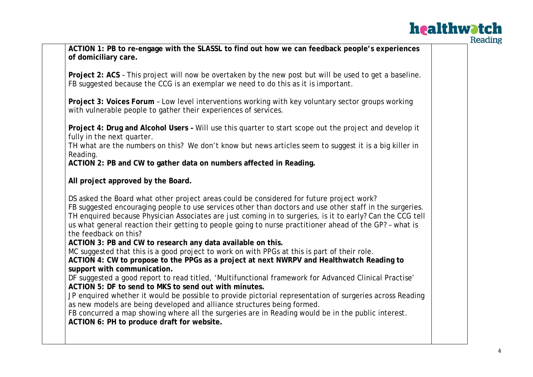|                                                                                                                                                                                                                                                                                                                                                                                                                                                                                                                                                                                                                                                                                                                                                                                                                                                                                                                                                                                                                                                                                                                                                                                                                                                                | healthwatch<br>Reading |
|----------------------------------------------------------------------------------------------------------------------------------------------------------------------------------------------------------------------------------------------------------------------------------------------------------------------------------------------------------------------------------------------------------------------------------------------------------------------------------------------------------------------------------------------------------------------------------------------------------------------------------------------------------------------------------------------------------------------------------------------------------------------------------------------------------------------------------------------------------------------------------------------------------------------------------------------------------------------------------------------------------------------------------------------------------------------------------------------------------------------------------------------------------------------------------------------------------------------------------------------------------------|------------------------|
| ACTION 1: PB to re-engage with the SLASSL to find out how we can feedback people's experiences<br>of domiciliary care.                                                                                                                                                                                                                                                                                                                                                                                                                                                                                                                                                                                                                                                                                                                                                                                                                                                                                                                                                                                                                                                                                                                                         |                        |
| Project 2: ACS - This project will now be overtaken by the new post but will be used to get a baseline.<br>FB suggested because the CCG is an exemplar we need to do this as it is important.                                                                                                                                                                                                                                                                                                                                                                                                                                                                                                                                                                                                                                                                                                                                                                                                                                                                                                                                                                                                                                                                  |                        |
| Project 3: Voices Forum - Low level interventions working with key voluntary sector groups working<br>with vulnerable people to gather their experiences of services.                                                                                                                                                                                                                                                                                                                                                                                                                                                                                                                                                                                                                                                                                                                                                                                                                                                                                                                                                                                                                                                                                          |                        |
| Project 4: Drug and Alcohol Users - Will use this quarter to start scope out the project and develop it<br>fully in the next quarter.<br>TH what are the numbers on this? We don't know but news articles seem to suggest it is a big killer in<br>Reading.<br>ACTION 2: PB and CW to gather data on numbers affected in Reading.                                                                                                                                                                                                                                                                                                                                                                                                                                                                                                                                                                                                                                                                                                                                                                                                                                                                                                                              |                        |
| All project approved by the Board.                                                                                                                                                                                                                                                                                                                                                                                                                                                                                                                                                                                                                                                                                                                                                                                                                                                                                                                                                                                                                                                                                                                                                                                                                             |                        |
| DS asked the Board what other project areas could be considered for future project work?<br>FB suggested encouraging people to use services other than doctors and use other staff in the surgeries.<br>TH enquired because Physician Associates are just coming in to surgeries, is it to early? Can the CCG tell<br>us what general reaction their getting to people going to nurse practitioner ahead of the GP? - what is<br>the feedback on this?<br>ACTION 3: PB and CW to research any data available on this.<br>MC suggested that this is a good project to work on with PPGs at this is part of their role.<br>ACTION 4: CW to propose to the PPGs as a project at next NWRPV and Healthwatch Reading to<br>support with communication.<br>DF suggested a good report to read titled, 'Multifunctional framework for Advanced Clinical Practise'<br>ACTION 5: DF to send to MKS to send out with minutes.<br>JP enquired whether it would be possible to provide pictorial representation of surgeries across Reading<br>as new models are being developed and alliance structures being formed.<br>FB concurred a map showing where all the surgeries are in Reading would be in the public interest.<br>ACTION 6: PH to produce draft for website. |                        |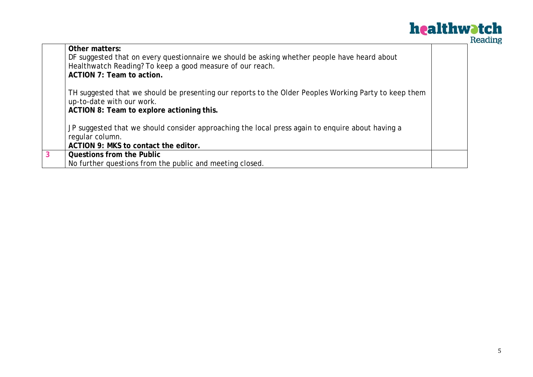|   | <b>Other matters:</b><br>DF suggested that on every questionnaire we should be asking whether people have heard about<br>Healthwatch Reading? To keep a good measure of our reach.<br>ACTION 7: Team to action. |  |
|---|-----------------------------------------------------------------------------------------------------------------------------------------------------------------------------------------------------------------|--|
|   | TH suggested that we should be presenting our reports to the Older Peoples Working Party to keep them<br>up-to-date with our work.<br>ACTION 8: Team to explore actioning this.                                 |  |
|   | JP suggested that we should consider approaching the local press again to enquire about having a<br>regular column.<br>ACTION 9: MKS to contact the editor.                                                     |  |
| 3 | Questions from the Public<br>No further questions from the public and meeting closed.                                                                                                                           |  |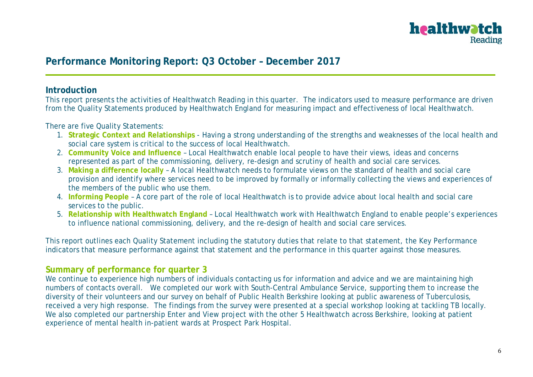

### **Performance Monitoring Report: Q3 October – December 2017**

### **Introduction**

This report presents the activities of Healthwatch Reading in this quarter. The indicators used to measure performance are driven from the Quality Statements produced by Healthwatch England for measuring impact and effectiveness of local Healthwatch.

There are five Quality Statements:

- 1. **Strategic Context and Relationships**  Having a strong understanding of the strengths and weaknesses of the local health and social care system is critical to the success of local Healthwatch.
- 2. **Community Voice and Influence** Local Healthwatch enable local people to have their views, ideas and concerns represented as part of the commissioning, delivery, re-design and scrutiny of health and social care services.
- 3. **Making a difference locally** A local Healthwatch needs to formulate views on the standard of health and social care provision and identify where services need to be improved by formally or informally collecting the views and experiences of the members of the public who use them.
- 4. **Informing People** A core part of the role of local Healthwatch is to provide advice about local health and social care services to the public.
- 5. **Relationship with Healthwatch England** Local Healthwatch work with Healthwatch England to enable people's experiences to influence national commissioning, delivery, and the re-design of health and social care services.

This report outlines each Quality Statement including the statutory duties that relate to that statement, the Key Performance indicators that measure performance against that statement and the performance in this quarter against those measures.

### **Summary of performance for quarter 3**

We continue to experience high numbers of individuals contacting us for information and advice and we are maintaining high numbers of contacts overall. We completed our work with South-Central Ambulance Service, supporting them to increase the diversity of their volunteers and our survey on behalf of Public Health Berkshire looking at public awareness of Tuberculosis, received a very high response. The findings from the survey were presented at a special workshop looking at tackling TB locally. We also completed our partnership Enter and View project with the other 5 Healthwatch across Berkshire, looking at patient experience of mental health in-patient wards at Prospect Park Hospital.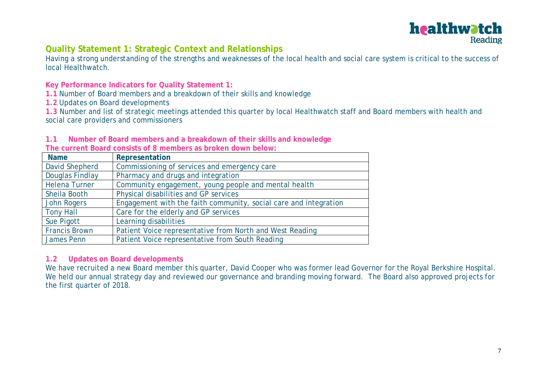

### **Quality Statement 1: Strategic Context and Relationships**

Having a strong understanding of the strengths and weaknesses of the local health and social care system is critical to the success of local Healthwatch.

**Key Performance Indicators for Quality Statement 1:**

**1.1** Number of Board members and a breakdown of their skills and knowledge

**1.2** Updates on Board developments

**1.3** Number and list of strategic meetings attended this quarter by local Healthwatch staff and Board members with health and social care providers and commissioners

|                        | THE CUITENT DOALD CONSISTS OF 8 HIEHIDELS AS DI OKEN QOWNT DEIOW. |
|------------------------|-------------------------------------------------------------------|
| <b>Name</b>            | Representation                                                    |
| <b>David Shepherd</b>  | Commissioning of services and emergency care                      |
| <b>Douglas Findlay</b> | Pharmacy and drugs and integration                                |
| <b>Helena Turner</b>   | Community engagement, young people and mental health              |
| Sheila Booth           | Physical disabilities and GP services                             |
| <b>John Rogers</b>     | Engagement with the faith community, social care and integration  |
| <b>Tony Hall</b>       | Care for the elderly and GP services                              |
| Sue Pigott             | Learning disabilities                                             |
| <b>Francis Brown</b>   | Patient Voice representative from North and West Reading          |
| James Penn             | Patient Voice representative from South Reading                   |

**1.1 Number of Board members and a breakdown of their skills and knowledge The current Board consists of 8 members as broken down below:**

#### **1.2 Updates on Board developments**

We have recruited a new Board member this quarter, David Cooper who was former lead Governor for the Royal Berkshire Hospital. We held our annual strategy day and reviewed our governance and branding moving forward. The Board also approved projects for the first quarter of 2018.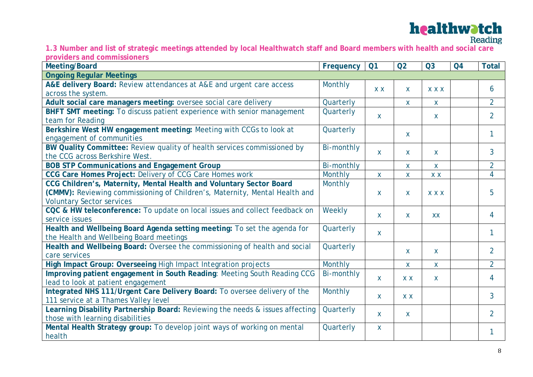**1.3 Number and list of strategic meetings attended by local Healthwatch staff and Board members with health and social care providers and commissioners**

| <b>Meeting/Board</b>                                                          | Frequency         | Q <sub>1</sub> | Q2           | <b>Q3</b>    | <b>Q4</b> | <b>Total</b>   |
|-------------------------------------------------------------------------------|-------------------|----------------|--------------|--------------|-----------|----------------|
| <b>Ongoing Regular Meetings</b>                                               |                   |                |              |              |           |                |
| A&E delivery Board: Review attendances at A&E and urgent care access          | Monthly           | X X            | $\mathsf{X}$ | <b>XXX</b>   |           | 6              |
| across the system.                                                            |                   |                |              |              |           |                |
| Adult social care managers meeting: oversee social care delivery              | Quarterly         |                | $\mathsf{X}$ | $\mathsf{X}$ |           | $\overline{2}$ |
| BHFT SMT meeting: To discuss patient experience with senior management        | Quarterly         | $\mathsf{X}$   |              | X            |           | $\overline{2}$ |
| team for Reading                                                              |                   |                |              |              |           |                |
| Berkshire West HW engagement meeting: Meeting with CCGs to look at            | Quarterly         |                | $\mathsf{X}$ |              |           | $\mathbf{1}$   |
| engagement of communities                                                     |                   |                |              |              |           |                |
| BW Quality Committee: Review quality of health services commissioned by       | Bi-monthly        | <b>X</b>       | X            | $\mathsf{x}$ |           | $\overline{3}$ |
| the CCG across Berkshire West.                                                |                   |                |              |              |           |                |
| <b>BOB STP Communications and Engagement Group</b>                            | <b>Bi-monthly</b> |                | $\mathsf{X}$ | $\mathsf{X}$ |           | $\overline{2}$ |
| CCG Care Homes Project: Delivery of CCG Care Homes work                       | Monthly           | X              | $\mathsf{X}$ | X X          |           | $\overline{4}$ |
| CCG Children's, Maternity, Mental Health and Voluntary Sector Board           | Monthly           |                |              |              |           |                |
| (CMMV): Reviewing commissioning of Children's, Maternity, Mental Health and   |                   | X              | $\mathsf{X}$ | <b>XXX</b>   |           | 5              |
| <b>Voluntary Sector services</b>                                              |                   |                |              |              |           |                |
| CQC & HW teleconference: To update on local issues and collect feedback on    | Weekly            | <b>X</b>       | $\mathbf{x}$ | XX           |           | 4              |
| service issues                                                                |                   |                |              |              |           |                |
| Health and Wellbeing Board Agenda setting meeting: To set the agenda for      | Quarterly         | X              |              |              |           | $\mathbf{1}$   |
| the Health and Wellbeing Board meetings                                       |                   |                |              |              |           |                |
| Health and Wellbeing Board: Oversee the commissioning of health and social    | Quarterly         |                | $\mathsf{X}$ | $\mathsf{X}$ |           | 2              |
| care services                                                                 |                   |                |              |              |           |                |
| High Impact Group: Overseeing High Impact Integration projects                | Monthly           |                | $\mathsf{X}$ | X            |           | $\overline{2}$ |
| Improving patient engagement in South Reading: Meeting South Reading CCG      | Bi-monthly        | X              | <b>XX</b>    | $\mathsf{X}$ |           | $\overline{4}$ |
| lead to look at patient engagement                                            |                   |                |              |              |           |                |
| Integrated NHS 111/Urgent Care Delivery Board: To oversee delivery of the     | Monthly           | <b>X</b>       | <b>XX</b>    |              |           | 3              |
| 111 service at a Thames Valley level                                          |                   |                |              |              |           |                |
| Learning Disability Partnership Board: Reviewing the needs & issues affecting | Quarterly         | X.             | X            |              |           | $\overline{2}$ |
| those with learning disabilities                                              |                   |                |              |              |           |                |
| Mental Health Strategy group: To develop joint ways of working on mental      | Quarterly         | <b>X</b>       |              |              |           | 1              |
| health                                                                        |                   |                |              |              |           |                |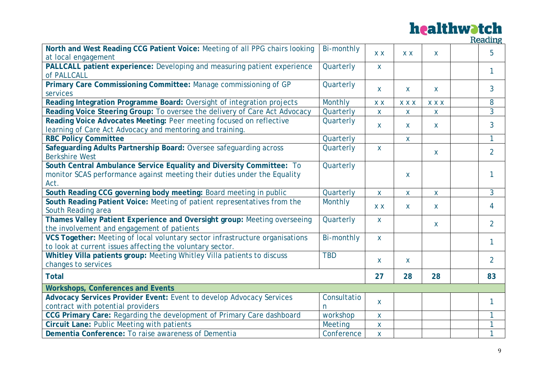| North and West Reading CCG Patient Voice: Meeting of all PPG chairs looking<br>Bi-monthly<br>5<br><b>XX</b><br>X X<br>$\mathsf{X}$<br>at local engagement<br>PALLCALL patient experience: Developing and measuring patient experience<br>Quarterly<br>$\mathsf{X}$<br>1<br>of PALLCALL<br>Primary Care Commissioning Committee: Manage commissioning of GP<br>Quarterly<br>3<br>X<br>X<br>$\mathsf{X}$<br>services<br>Reading Integration Programme Board: Oversight of integration projects<br>Monthly<br>8<br><b>XXX</b><br><b>XXX</b><br>X X<br>3<br>Reading Voice Steering Group: To oversee the delivery of Care Act Advocacy<br>Quarterly<br>$\mathsf{X}$<br>$\mathsf{X}$<br>X<br>Reading Voice Advocates Meeting: Peer meeting focused on reflective<br>Quarterly<br>3<br>$\mathsf{X}$<br>X<br>$\mathsf{X}$<br>learning of Care Act Advocacy and mentoring and training.<br><b>RBC Policy Committee</b><br>Quarterly<br>1<br>X<br>Safeguarding Adults Partnership Board: Oversee safeguarding across<br>Quarterly<br>$\mathsf{X}$<br>$\overline{2}$<br>$\mathsf{X}$<br><b>Berkshire West</b><br>South Central Ambulance Service Equality and Diversity Committee: To<br>Quarterly<br>monitor SCAS performance against meeting their duties under the Equality<br>X<br>Act.<br>South Reading CCG governing body meeting: Board meeting in public<br>Quarterly<br>3<br>$\mathsf{X}$<br>X<br>$\mathsf{X}$<br>South Reading Patient Voice: Meeting of patient representatives from the<br>Monthly<br>4<br>X X<br><b>X</b><br>X<br>South Reading area<br>Thames Valley Patient Experience and Oversight group: Meeting overseeing<br>Quarterly<br>$\mathsf{X}$<br>$\overline{2}$<br>X<br>the involvement and engagement of patients<br>VCS Together: Meeting of local voluntary sector infrastructure organisations<br>Bi-monthly<br>$\mathsf{X}$<br>1<br>to look at current issues affecting the voluntary sector.<br>Whitley Villa patients group: Meeting Whitley Villa patients to discuss<br><b>TBD</b><br>$\overline{2}$<br>X<br>X<br>changes to services<br>28<br><b>Total</b><br>27<br>28<br>83<br><b>Workshops, Conferences and Events</b><br>Advocacy Services Provider Event: Event to develop Advocacy Services<br>Consultatio<br>1<br>$\mathsf{X}$<br>contract with potential providers<br>n<br>CCG Primary Care: Regarding the development of Primary Care dashboard<br>workshop<br>$\mathsf{X}$<br><b>Circuit Lane: Public Meeting with patients</b><br><b>Meeting</b><br>1<br>$\mathsf{X}$ |                                                     |            |              |  | neaulig |  |
|--------------------------------------------------------------------------------------------------------------------------------------------------------------------------------------------------------------------------------------------------------------------------------------------------------------------------------------------------------------------------------------------------------------------------------------------------------------------------------------------------------------------------------------------------------------------------------------------------------------------------------------------------------------------------------------------------------------------------------------------------------------------------------------------------------------------------------------------------------------------------------------------------------------------------------------------------------------------------------------------------------------------------------------------------------------------------------------------------------------------------------------------------------------------------------------------------------------------------------------------------------------------------------------------------------------------------------------------------------------------------------------------------------------------------------------------------------------------------------------------------------------------------------------------------------------------------------------------------------------------------------------------------------------------------------------------------------------------------------------------------------------------------------------------------------------------------------------------------------------------------------------------------------------------------------------------------------------------------------------------------------------------------------------------------------------------------------------------------------------------------------------------------------------------------------------------------------------------------------------------------------------------------------------------------------------------------------------------------------------------------------------------------------------------------------------------------------------------------------------------------------------|-----------------------------------------------------|------------|--------------|--|---------|--|
|                                                                                                                                                                                                                                                                                                                                                                                                                                                                                                                                                                                                                                                                                                                                                                                                                                                                                                                                                                                                                                                                                                                                                                                                                                                                                                                                                                                                                                                                                                                                                                                                                                                                                                                                                                                                                                                                                                                                                                                                                                                                                                                                                                                                                                                                                                                                                                                                                                                                                                              |                                                     |            |              |  |         |  |
|                                                                                                                                                                                                                                                                                                                                                                                                                                                                                                                                                                                                                                                                                                                                                                                                                                                                                                                                                                                                                                                                                                                                                                                                                                                                                                                                                                                                                                                                                                                                                                                                                                                                                                                                                                                                                                                                                                                                                                                                                                                                                                                                                                                                                                                                                                                                                                                                                                                                                                              |                                                     |            |              |  |         |  |
|                                                                                                                                                                                                                                                                                                                                                                                                                                                                                                                                                                                                                                                                                                                                                                                                                                                                                                                                                                                                                                                                                                                                                                                                                                                                                                                                                                                                                                                                                                                                                                                                                                                                                                                                                                                                                                                                                                                                                                                                                                                                                                                                                                                                                                                                                                                                                                                                                                                                                                              |                                                     |            |              |  |         |  |
|                                                                                                                                                                                                                                                                                                                                                                                                                                                                                                                                                                                                                                                                                                                                                                                                                                                                                                                                                                                                                                                                                                                                                                                                                                                                                                                                                                                                                                                                                                                                                                                                                                                                                                                                                                                                                                                                                                                                                                                                                                                                                                                                                                                                                                                                                                                                                                                                                                                                                                              |                                                     |            |              |  |         |  |
|                                                                                                                                                                                                                                                                                                                                                                                                                                                                                                                                                                                                                                                                                                                                                                                                                                                                                                                                                                                                                                                                                                                                                                                                                                                                                                                                                                                                                                                                                                                                                                                                                                                                                                                                                                                                                                                                                                                                                                                                                                                                                                                                                                                                                                                                                                                                                                                                                                                                                                              |                                                     |            |              |  |         |  |
|                                                                                                                                                                                                                                                                                                                                                                                                                                                                                                                                                                                                                                                                                                                                                                                                                                                                                                                                                                                                                                                                                                                                                                                                                                                                                                                                                                                                                                                                                                                                                                                                                                                                                                                                                                                                                                                                                                                                                                                                                                                                                                                                                                                                                                                                                                                                                                                                                                                                                                              |                                                     |            |              |  |         |  |
|                                                                                                                                                                                                                                                                                                                                                                                                                                                                                                                                                                                                                                                                                                                                                                                                                                                                                                                                                                                                                                                                                                                                                                                                                                                                                                                                                                                                                                                                                                                                                                                                                                                                                                                                                                                                                                                                                                                                                                                                                                                                                                                                                                                                                                                                                                                                                                                                                                                                                                              |                                                     |            |              |  |         |  |
|                                                                                                                                                                                                                                                                                                                                                                                                                                                                                                                                                                                                                                                                                                                                                                                                                                                                                                                                                                                                                                                                                                                                                                                                                                                                                                                                                                                                                                                                                                                                                                                                                                                                                                                                                                                                                                                                                                                                                                                                                                                                                                                                                                                                                                                                                                                                                                                                                                                                                                              |                                                     |            |              |  |         |  |
|                                                                                                                                                                                                                                                                                                                                                                                                                                                                                                                                                                                                                                                                                                                                                                                                                                                                                                                                                                                                                                                                                                                                                                                                                                                                                                                                                                                                                                                                                                                                                                                                                                                                                                                                                                                                                                                                                                                                                                                                                                                                                                                                                                                                                                                                                                                                                                                                                                                                                                              |                                                     |            |              |  |         |  |
|                                                                                                                                                                                                                                                                                                                                                                                                                                                                                                                                                                                                                                                                                                                                                                                                                                                                                                                                                                                                                                                                                                                                                                                                                                                                                                                                                                                                                                                                                                                                                                                                                                                                                                                                                                                                                                                                                                                                                                                                                                                                                                                                                                                                                                                                                                                                                                                                                                                                                                              |                                                     |            |              |  |         |  |
|                                                                                                                                                                                                                                                                                                                                                                                                                                                                                                                                                                                                                                                                                                                                                                                                                                                                                                                                                                                                                                                                                                                                                                                                                                                                                                                                                                                                                                                                                                                                                                                                                                                                                                                                                                                                                                                                                                                                                                                                                                                                                                                                                                                                                                                                                                                                                                                                                                                                                                              |                                                     |            |              |  |         |  |
|                                                                                                                                                                                                                                                                                                                                                                                                                                                                                                                                                                                                                                                                                                                                                                                                                                                                                                                                                                                                                                                                                                                                                                                                                                                                                                                                                                                                                                                                                                                                                                                                                                                                                                                                                                                                                                                                                                                                                                                                                                                                                                                                                                                                                                                                                                                                                                                                                                                                                                              |                                                     |            |              |  |         |  |
|                                                                                                                                                                                                                                                                                                                                                                                                                                                                                                                                                                                                                                                                                                                                                                                                                                                                                                                                                                                                                                                                                                                                                                                                                                                                                                                                                                                                                                                                                                                                                                                                                                                                                                                                                                                                                                                                                                                                                                                                                                                                                                                                                                                                                                                                                                                                                                                                                                                                                                              |                                                     |            |              |  |         |  |
|                                                                                                                                                                                                                                                                                                                                                                                                                                                                                                                                                                                                                                                                                                                                                                                                                                                                                                                                                                                                                                                                                                                                                                                                                                                                                                                                                                                                                                                                                                                                                                                                                                                                                                                                                                                                                                                                                                                                                                                                                                                                                                                                                                                                                                                                                                                                                                                                                                                                                                              |                                                     |            |              |  |         |  |
|                                                                                                                                                                                                                                                                                                                                                                                                                                                                                                                                                                                                                                                                                                                                                                                                                                                                                                                                                                                                                                                                                                                                                                                                                                                                                                                                                                                                                                                                                                                                                                                                                                                                                                                                                                                                                                                                                                                                                                                                                                                                                                                                                                                                                                                                                                                                                                                                                                                                                                              |                                                     |            |              |  |         |  |
|                                                                                                                                                                                                                                                                                                                                                                                                                                                                                                                                                                                                                                                                                                                                                                                                                                                                                                                                                                                                                                                                                                                                                                                                                                                                                                                                                                                                                                                                                                                                                                                                                                                                                                                                                                                                                                                                                                                                                                                                                                                                                                                                                                                                                                                                                                                                                                                                                                                                                                              |                                                     |            |              |  |         |  |
|                                                                                                                                                                                                                                                                                                                                                                                                                                                                                                                                                                                                                                                                                                                                                                                                                                                                                                                                                                                                                                                                                                                                                                                                                                                                                                                                                                                                                                                                                                                                                                                                                                                                                                                                                                                                                                                                                                                                                                                                                                                                                                                                                                                                                                                                                                                                                                                                                                                                                                              |                                                     |            |              |  |         |  |
|                                                                                                                                                                                                                                                                                                                                                                                                                                                                                                                                                                                                                                                                                                                                                                                                                                                                                                                                                                                                                                                                                                                                                                                                                                                                                                                                                                                                                                                                                                                                                                                                                                                                                                                                                                                                                                                                                                                                                                                                                                                                                                                                                                                                                                                                                                                                                                                                                                                                                                              |                                                     |            |              |  |         |  |
|                                                                                                                                                                                                                                                                                                                                                                                                                                                                                                                                                                                                                                                                                                                                                                                                                                                                                                                                                                                                                                                                                                                                                                                                                                                                                                                                                                                                                                                                                                                                                                                                                                                                                                                                                                                                                                                                                                                                                                                                                                                                                                                                                                                                                                                                                                                                                                                                                                                                                                              |                                                     |            |              |  |         |  |
|                                                                                                                                                                                                                                                                                                                                                                                                                                                                                                                                                                                                                                                                                                                                                                                                                                                                                                                                                                                                                                                                                                                                                                                                                                                                                                                                                                                                                                                                                                                                                                                                                                                                                                                                                                                                                                                                                                                                                                                                                                                                                                                                                                                                                                                                                                                                                                                                                                                                                                              |                                                     |            |              |  |         |  |
|                                                                                                                                                                                                                                                                                                                                                                                                                                                                                                                                                                                                                                                                                                                                                                                                                                                                                                                                                                                                                                                                                                                                                                                                                                                                                                                                                                                                                                                                                                                                                                                                                                                                                                                                                                                                                                                                                                                                                                                                                                                                                                                                                                                                                                                                                                                                                                                                                                                                                                              |                                                     |            |              |  |         |  |
|                                                                                                                                                                                                                                                                                                                                                                                                                                                                                                                                                                                                                                                                                                                                                                                                                                                                                                                                                                                                                                                                                                                                                                                                                                                                                                                                                                                                                                                                                                                                                                                                                                                                                                                                                                                                                                                                                                                                                                                                                                                                                                                                                                                                                                                                                                                                                                                                                                                                                                              |                                                     |            |              |  |         |  |
|                                                                                                                                                                                                                                                                                                                                                                                                                                                                                                                                                                                                                                                                                                                                                                                                                                                                                                                                                                                                                                                                                                                                                                                                                                                                                                                                                                                                                                                                                                                                                                                                                                                                                                                                                                                                                                                                                                                                                                                                                                                                                                                                                                                                                                                                                                                                                                                                                                                                                                              |                                                     |            |              |  |         |  |
|                                                                                                                                                                                                                                                                                                                                                                                                                                                                                                                                                                                                                                                                                                                                                                                                                                                                                                                                                                                                                                                                                                                                                                                                                                                                                                                                                                                                                                                                                                                                                                                                                                                                                                                                                                                                                                                                                                                                                                                                                                                                                                                                                                                                                                                                                                                                                                                                                                                                                                              |                                                     |            |              |  |         |  |
|                                                                                                                                                                                                                                                                                                                                                                                                                                                                                                                                                                                                                                                                                                                                                                                                                                                                                                                                                                                                                                                                                                                                                                                                                                                                                                                                                                                                                                                                                                                                                                                                                                                                                                                                                                                                                                                                                                                                                                                                                                                                                                                                                                                                                                                                                                                                                                                                                                                                                                              |                                                     |            |              |  |         |  |
|                                                                                                                                                                                                                                                                                                                                                                                                                                                                                                                                                                                                                                                                                                                                                                                                                                                                                                                                                                                                                                                                                                                                                                                                                                                                                                                                                                                                                                                                                                                                                                                                                                                                                                                                                                                                                                                                                                                                                                                                                                                                                                                                                                                                                                                                                                                                                                                                                                                                                                              |                                                     |            |              |  |         |  |
|                                                                                                                                                                                                                                                                                                                                                                                                                                                                                                                                                                                                                                                                                                                                                                                                                                                                                                                                                                                                                                                                                                                                                                                                                                                                                                                                                                                                                                                                                                                                                                                                                                                                                                                                                                                                                                                                                                                                                                                                                                                                                                                                                                                                                                                                                                                                                                                                                                                                                                              |                                                     |            |              |  |         |  |
|                                                                                                                                                                                                                                                                                                                                                                                                                                                                                                                                                                                                                                                                                                                                                                                                                                                                                                                                                                                                                                                                                                                                                                                                                                                                                                                                                                                                                                                                                                                                                                                                                                                                                                                                                                                                                                                                                                                                                                                                                                                                                                                                                                                                                                                                                                                                                                                                                                                                                                              |                                                     |            |              |  |         |  |
|                                                                                                                                                                                                                                                                                                                                                                                                                                                                                                                                                                                                                                                                                                                                                                                                                                                                                                                                                                                                                                                                                                                                                                                                                                                                                                                                                                                                                                                                                                                                                                                                                                                                                                                                                                                                                                                                                                                                                                                                                                                                                                                                                                                                                                                                                                                                                                                                                                                                                                              |                                                     |            |              |  |         |  |
|                                                                                                                                                                                                                                                                                                                                                                                                                                                                                                                                                                                                                                                                                                                                                                                                                                                                                                                                                                                                                                                                                                                                                                                                                                                                                                                                                                                                                                                                                                                                                                                                                                                                                                                                                                                                                                                                                                                                                                                                                                                                                                                                                                                                                                                                                                                                                                                                                                                                                                              |                                                     |            |              |  |         |  |
|                                                                                                                                                                                                                                                                                                                                                                                                                                                                                                                                                                                                                                                                                                                                                                                                                                                                                                                                                                                                                                                                                                                                                                                                                                                                                                                                                                                                                                                                                                                                                                                                                                                                                                                                                                                                                                                                                                                                                                                                                                                                                                                                                                                                                                                                                                                                                                                                                                                                                                              |                                                     |            |              |  |         |  |
|                                                                                                                                                                                                                                                                                                                                                                                                                                                                                                                                                                                                                                                                                                                                                                                                                                                                                                                                                                                                                                                                                                                                                                                                                                                                                                                                                                                                                                                                                                                                                                                                                                                                                                                                                                                                                                                                                                                                                                                                                                                                                                                                                                                                                                                                                                                                                                                                                                                                                                              |                                                     |            |              |  |         |  |
|                                                                                                                                                                                                                                                                                                                                                                                                                                                                                                                                                                                                                                                                                                                                                                                                                                                                                                                                                                                                                                                                                                                                                                                                                                                                                                                                                                                                                                                                                                                                                                                                                                                                                                                                                                                                                                                                                                                                                                                                                                                                                                                                                                                                                                                                                                                                                                                                                                                                                                              |                                                     |            |              |  |         |  |
|                                                                                                                                                                                                                                                                                                                                                                                                                                                                                                                                                                                                                                                                                                                                                                                                                                                                                                                                                                                                                                                                                                                                                                                                                                                                                                                                                                                                                                                                                                                                                                                                                                                                                                                                                                                                                                                                                                                                                                                                                                                                                                                                                                                                                                                                                                                                                                                                                                                                                                              |                                                     |            |              |  |         |  |
|                                                                                                                                                                                                                                                                                                                                                                                                                                                                                                                                                                                                                                                                                                                                                                                                                                                                                                                                                                                                                                                                                                                                                                                                                                                                                                                                                                                                                                                                                                                                                                                                                                                                                                                                                                                                                                                                                                                                                                                                                                                                                                                                                                                                                                                                                                                                                                                                                                                                                                              |                                                     |            |              |  |         |  |
|                                                                                                                                                                                                                                                                                                                                                                                                                                                                                                                                                                                                                                                                                                                                                                                                                                                                                                                                                                                                                                                                                                                                                                                                                                                                                                                                                                                                                                                                                                                                                                                                                                                                                                                                                                                                                                                                                                                                                                                                                                                                                                                                                                                                                                                                                                                                                                                                                                                                                                              | Dementia Conference: To raise awareness of Dementia | Conference | $\mathsf{X}$ |  |         |  |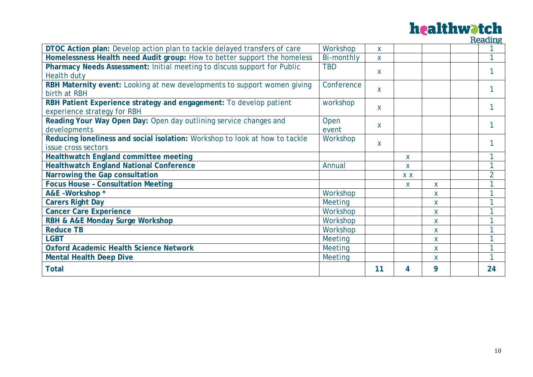### healthwatch Reading

|                                                                             |                |    |              |                         | neaulig        |
|-----------------------------------------------------------------------------|----------------|----|--------------|-------------------------|----------------|
| DTOC Action plan: Develop action plan to tackle delayed transfers of care   | Workshop       | X  |              |                         |                |
| Homelessness Health need Audit group: How to better support the homeless    | Bi-monthly     | X  |              |                         |                |
| Pharmacy Needs Assessment: Initial meeting to discuss support for Public    | <b>TBD</b>     | X  |              |                         |                |
| <b>Health duty</b>                                                          |                |    |              |                         |                |
| RBH Maternity event: Looking at new developments to support women giving    | Conference     | X  |              |                         |                |
| birth at RBH                                                                |                |    |              |                         |                |
| RBH Patient Experience strategy and engagement: To develop patient          | workshop       | X  |              |                         |                |
| experience strategy for RBH                                                 |                |    |              |                         |                |
| Reading Your Way Open Day: Open day outlining service changes and           | Open           | X  |              |                         |                |
| developments                                                                | event          |    |              |                         |                |
| Reducing loneliness and social isolation: Workshop to look at how to tackle | Workshop       | X  |              |                         |                |
| issue cross sectors                                                         |                |    |              |                         |                |
| <b>Healthwatch England committee meeting</b>                                |                |    | X            |                         |                |
| <b>Healthwatch England National Conference</b>                              | Annual         |    | X            |                         |                |
| Narrowing the Gap consultation                                              |                |    | <b>XX</b>    |                         | $\overline{2}$ |
| <b>Focus House - Consultation Meeting</b>                                   |                |    | $\mathsf{X}$ | $\mathsf{X}$            |                |
| A&E -Workshop *                                                             | Workshop       |    |              | X                       |                |
| <b>Carers Right Day</b>                                                     | Meeting        |    |              | X                       |                |
| <b>Cancer Care Experience</b>                                               | Workshop       |    |              | X                       |                |
| RBH & A&E Monday Surge Workshop                                             | Workshop       |    |              | X                       |                |
| <b>Reduce TB</b>                                                            | Workshop       |    |              | X                       |                |
| <b>LGBT</b>                                                                 | Meeting        |    |              | X                       |                |
| <b>Oxford Academic Health Science Network</b>                               | <b>Meeting</b> |    |              | $\overline{\mathsf{X}}$ |                |
| <b>Mental Health Deep Dive</b>                                              | <b>Meeting</b> |    |              | X                       |                |
| <b>Total</b>                                                                |                | 11 | 4            | 9                       | 24             |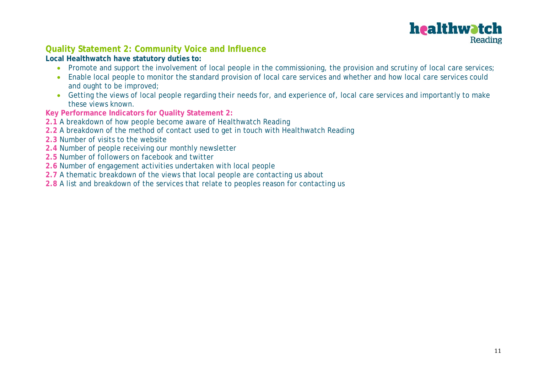

### **Quality Statement 2: Community Voice and Influence**

### **Local Healthwatch have statutory duties to:**

- Promote and support the involvement of local people in the commissioning, the provision and scrutiny of local care services;
- Enable local people to monitor the standard provision of local care services and whether and how local care services could and ought to be improved;
- Getting the views of local people regarding their needs for, and experience of, local care services and importantly to make these views known.
- **Key Performance Indicators for Quality Statement 2:**
- **2.1** A breakdown of how people become aware of Healthwatch Reading
- **2.2** A breakdown of the method of contact used to get in touch with Healthwatch Reading
- **2.3** Number of visits to the website
- **2.4** Number of people receiving our monthly newsletter
- **2.5** Number of followers on facebook and twitter
- **2.6** Number of engagement activities undertaken with local people
- **2.7** A thematic breakdown of the views that local people are contacting us about
- **2.8** A list and breakdown of the services that relate to peoples reason for contacting us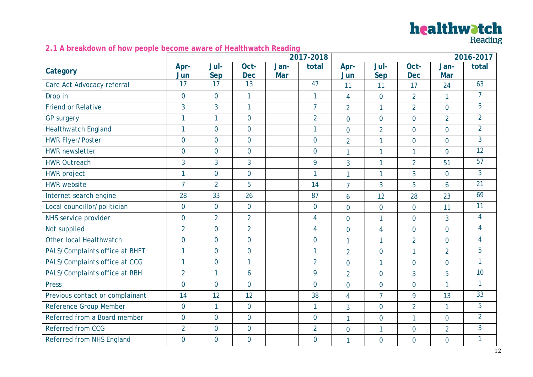### **2.1 A breakdown of how people become aware of Healthwatch Reading**

|                                 | 2017-2018      |                |                    |             |                |                |                |                    | 2016-2017      |                 |  |
|---------------------------------|----------------|----------------|--------------------|-------------|----------------|----------------|----------------|--------------------|----------------|-----------------|--|
| Category                        | Apr-<br>Jun    | Jul-<br>Sep    | Oct-<br><b>Dec</b> | Jan-<br>Mar | total          | Apr-<br>Jun    | Jul-<br>Sep    | Oct-<br><b>Dec</b> | Jan-<br>Mar    | total           |  |
| Care Act Advocacy referral      | 17             | 17             | 13                 |             | 47             | 11             | 11             | 17                 | 24             | 63              |  |
| Drop in                         | $\mathbf{0}$   | $\overline{0}$ | $\mathbf{1}$       |             | $\mathbf{1}$   | $\overline{4}$ | $\overline{0}$ | $\overline{2}$     | 1              | $\overline{7}$  |  |
| <b>Friend or Relative</b>       | $\overline{3}$ | 3              | 1                  |             | $\overline{7}$ | $\overline{2}$ | $\mathbf{1}$   | $\overline{2}$     | $\overline{0}$ | 5               |  |
| <b>GP</b> surgery               | 1              | $\mathbf{1}$   | $\overline{0}$     |             | $\overline{2}$ | $\overline{0}$ | $\overline{0}$ | $\overline{0}$     | $\overline{2}$ | $\overline{2}$  |  |
| <b>Healthwatch England</b>      | 1              | $\overline{0}$ | $\overline{0}$     |             | 1              | $\overline{0}$ | $\overline{2}$ | $\overline{0}$     | $\overline{0}$ | $\overline{2}$  |  |
| <b>HWR Flyer/Poster</b>         | $\mathbf{0}$   | $\mathbf 0$    | $\mathbf 0$        |             | $\overline{0}$ | $\overline{2}$ | 1              | $\overline{0}$     | $\overline{0}$ | $\overline{3}$  |  |
| <b>HWR</b> newsletter           | $\mathbf{0}$   | $\overline{0}$ | $\overline{0}$     |             | $\overline{0}$ | $\mathbf{1}$   | 1              | 1                  | 9              | $\overline{12}$ |  |
| <b>HWR Outreach</b>             | $\overline{3}$ | $\overline{3}$ | $\overline{3}$     |             | 9              | $\overline{3}$ | $\mathbf{1}$   | $\overline{2}$     | 51             | 57              |  |
| <b>HWR</b> project              | $\mathbf{1}$   | $\overline{0}$ | $\overline{0}$     |             | 1              | $\mathbf{1}$   | $\mathbf{1}$   | 3                  | $\overline{0}$ | 5               |  |
| <b>HWR</b> website              | $\overline{7}$ | $\overline{2}$ | 5                  |             | 14             | $\overline{7}$ | 3              | 5                  | 6              | 21              |  |
| Internet search engine          | 28             | 33             | 26                 |             | 87             | 6              | 12             | 28                 | 23             | 69              |  |
| Local councillor/politician     | $\mathbf{0}$   | $\overline{0}$ | $\overline{0}$     |             | $\overline{0}$ | $\overline{0}$ | $\overline{0}$ | $\overline{0}$     | 11             | 11              |  |
| NHS service provider            | $\mathbf{0}$   | $\overline{2}$ | $\overline{2}$     |             | $\overline{4}$ | $\overline{0}$ | $\mathbf{1}$   | $\overline{0}$     | $\overline{3}$ | $\overline{4}$  |  |
| Not supplied                    | $\overline{2}$ | $\mathbf 0$    | $\overline{2}$     |             | $\overline{4}$ | $\mathbf 0$    | $\overline{4}$ | $\mathbf 0$        | $\overline{0}$ | 4               |  |
| Other local Healthwatch         | $\overline{0}$ | $\overline{0}$ | $\overline{0}$     |             | $\overline{0}$ | $\mathbf{1}$   | 1              | $\overline{2}$     | $\overline{0}$ | $\overline{4}$  |  |
| PALS/Complaints office at BHFT  | 1              | $\overline{0}$ | $\overline{0}$     |             | $\mathbf{1}$   | $\overline{2}$ | $\overline{0}$ | $\mathbf{1}$       | $\overline{2}$ | 5               |  |
| PALS/Complaints office at CCG   | $\mathbf{1}$   | $\mathbf 0$    | $\mathbf{1}$       |             | $\overline{2}$ | $\overline{0}$ | 1              | $\overline{0}$     | $\overline{0}$ | $\mathbf{1}$    |  |
| PALS/Complaints office at RBH   | $\overline{2}$ | 1              | 6                  |             | 9              | $\overline{2}$ | $\mathbf 0$    | 3                  | 5              | 10              |  |
| <b>Press</b>                    | $\overline{0}$ | $\overline{0}$ | $\overline{0}$     |             | $\overline{0}$ | $\overline{0}$ | $\overline{0}$ | $\overline{0}$     | 1              | $\mathbf{1}$    |  |
| Previous contact or complainant | 14             | 12             | 12                 |             | 38             | $\overline{4}$ | $\overline{7}$ | 9                  | 13             | 33              |  |
| <b>Reference Group Member</b>   | $\mathbf{0}$   | $\mathbf{1}$   | $\overline{0}$     |             | 1              | $\overline{3}$ | $\overline{0}$ | $\overline{2}$     | $\mathbf{1}$   | 5               |  |
| Referred from a Board member    | $\overline{0}$ | $\overline{0}$ | $\overline{0}$     |             | $\overline{0}$ | $\mathbf{1}$   | $\overline{0}$ | 1                  | $\overline{0}$ | $\overline{2}$  |  |
| <b>Referred from CCG</b>        | $\overline{2}$ | $\overline{0}$ | $\overline{0}$     |             | $\overline{2}$ | $\overline{0}$ | 1              | $\overline{0}$     | $\overline{2}$ | $\overline{3}$  |  |
| Referred from NHS England       | $\mathbf 0$    | $\mathbf 0$    | $\mathbf 0$        |             | $\overline{0}$ | $\mathbf{1}$   | $\overline{0}$ | $\overline{0}$     | $\overline{0}$ | $\mathbf{1}$    |  |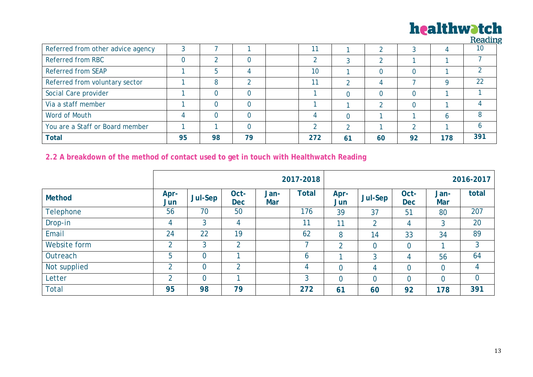|                                   |    |    |    |     |          |          |    |     | <b>Deadill</b> |
|-----------------------------------|----|----|----|-----|----------|----------|----|-----|----------------|
| Referred from other advice agency |    |    |    |     |          |          |    |     | 10             |
| Referred from RBC                 |    |    |    |     |          | ി        |    |     |                |
| <b>Referred from SEAP</b>         |    |    |    | 10  |          |          |    |     |                |
| Referred from voluntary sector    |    | 8  |    | 11  |          |          |    |     | 22             |
| Social Care provider              |    |    |    |     | $\Omega$ |          |    |     |                |
| Via a staff member                |    |    |    |     |          | $\Omega$ |    |     |                |
| Word of Mouth                     |    |    |    |     |          |          |    |     |                |
| You are a Staff or Board member   |    |    |    |     | ົ        |          |    |     |                |
| <b>Total</b>                      | 95 | 98 | 79 | 272 | 61       | 60       | 92 | 178 | 391            |

### **2.2 A breakdown of the method of contact used to get in touch with Healthwatch Reading**

|                  |                |                |                    |                    | 2017-2018    |                |                |                    |                    | 2016-2017      |
|------------------|----------------|----------------|--------------------|--------------------|--------------|----------------|----------------|--------------------|--------------------|----------------|
| <b>Method</b>    | Apr-<br>Jun    | <b>Jul-Sep</b> | Oct-<br><b>Dec</b> | Jan-<br><b>Mar</b> | <b>Total</b> | Apr-<br>Jun    | <b>Jul-Sep</b> | Oct-<br><b>Dec</b> | Jan-<br><b>Mar</b> | total          |
| <b>Telephone</b> | 56             | 70             | 50                 |                    | 176          | 39             | 37             | 51                 | 80                 | 207            |
| Drop-in          | 4              | $\overline{3}$ | 4                  |                    | 11           | 11             | $\overline{2}$ | 4                  | 3                  | 20             |
| Email            | 24             | 22             | 19                 |                    | 62           | 8              | 14             | 33                 | 34                 | 89             |
| Website form     | $\overline{2}$ | 3              | $\overline{2}$     |                    |              | $\overline{2}$ |                | $\overline{0}$     |                    | $\mathbf{3}$   |
| Outreach         | 5              |                |                    |                    | 6            |                | 3              | 4                  | 56                 | 64             |
| Not supplied     | $\overline{2}$ |                | $\mathcal{D}$      |                    | 4            | $\Omega$       | 4              | $\overline{0}$     | $\overline{0}$     | 4              |
| Letter           | $\overline{2}$ | $\overline{0}$ | и                  |                    | 3            | $\overline{0}$ |                | $\overline{0}$     | $\overline{0}$     | $\overline{0}$ |
| <b>Total</b>     | 95             | 98             | 79                 |                    | 272          | 61             | 60             | 92                 | 178                | 391            |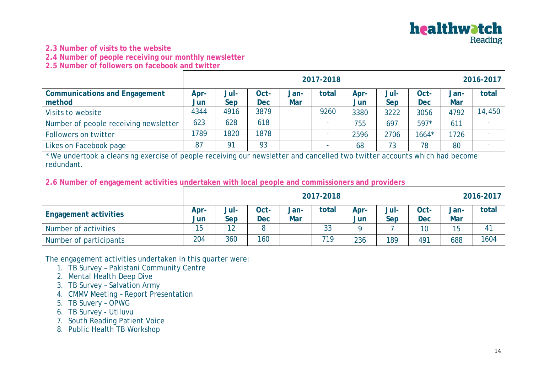

- **2.3 Number of visits to the website**
- **2.4 Number of people receiving our monthly newsletter**

**2.5 Number of followers on facebook and twitter**

|                                       |      |      |            |            | 2017-2018 |      |      |            |            | 2016-2017 |
|---------------------------------------|------|------|------------|------------|-----------|------|------|------------|------------|-----------|
| <b>Communications and Engagement</b>  | Apr- | Jul- | Oct-       | Jan-       | total     | Apr- | Jul- | Oct-       | Jan-       | total     |
| method                                | Jun  | Sep  | <b>Dec</b> | <b>Mar</b> |           | Jun  | Sep  | <b>Dec</b> | <b>Mar</b> |           |
| Visits to website                     | 4344 | 4916 | 3879       |            | 9260      | 3380 | 3222 | 3056       | 4792       | 14,450    |
| Number of people receiving newsletter | 623  | 628  | 618        |            |           | 755  | 697  | $597*$     | 611        |           |
| Followers on twitter                  | 1789 | 1820 | 1878       |            |           | 2596 | 2706 | $1664*$    | 1726       |           |
| Likes on Facebook page                | 87   | 91   | 93         |            |           | 68   | 73   | 78         | 80         |           |

\* We undertook a cleansing exercise of people receiving our newsletter and cancelled two twitter accounts which had become redundant.

**2.6 Number of engagement activities undertaken with local people and commissioners and providers**

|                              |             |             |                    |                    | 2017-2018 |             |             |                    |                    | 2016-2017 |
|------------------------------|-------------|-------------|--------------------|--------------------|-----------|-------------|-------------|--------------------|--------------------|-----------|
| <b>Engagement activities</b> | Apr-<br>Jun | Jul-<br>Sep | Oct-<br><b>Dec</b> | Jan-<br><b>Mar</b> | total     | Apr-<br>Jun | Jul-<br>Sep | Oct-<br><b>Dec</b> | Jan-<br><b>Mar</b> | total     |
| Number of activities         | 15          | 12          |                    |                    | 33        |             |             | 10                 |                    | 41        |
| Number of participants       | 204         | 360         | 160                |                    | 719       | 236         | 189         | 491                | 688                | 1604      |

The engagement activities undertaken in this quarter were:

- 1. TB Survey Pakistani Community Centre
- 2. Mental Health Deep Dive
- 3. TB Survey Salvation Army
- 4. CMMV Meeting Report Presentation
- 5. TB Suvery OPWG
- 6. TB Survey Utiluvu
- 7. South Reading Patient Voice
- 8. Public Health TB Workshop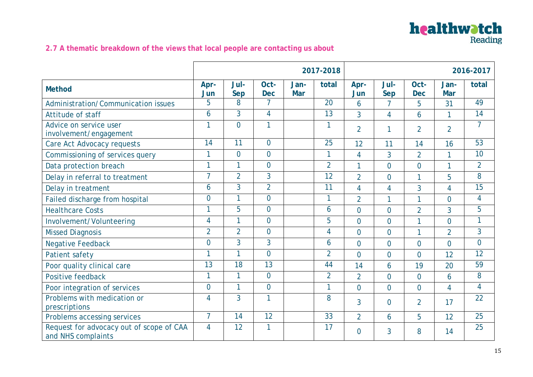

### **2.7 A thematic breakdown of the views that local people are contacting us about**

|                                                                |                |                    |                    |                    | 2017-2018      |                |                |                    |                    | 2016-2017      |
|----------------------------------------------------------------|----------------|--------------------|--------------------|--------------------|----------------|----------------|----------------|--------------------|--------------------|----------------|
| <b>Method</b>                                                  | Apr-<br>Jun    | Jul-<br><b>Sep</b> | Oct-<br><b>Dec</b> | Jan-<br><b>Mar</b> | total          | Apr-<br>Jun    | Jul-<br>Sep    | Oct-<br><b>Dec</b> | Jan-<br><b>Mar</b> | total          |
| <b>Administration/Communication issues</b>                     | 5              | 8                  | $\overline{7}$     |                    | 20             | 6              | $\overline{7}$ | 5                  | 31                 | 49             |
| Attitude of staff                                              | 6              | $\overline{3}$     | $\overline{4}$     |                    | 13             | $\overline{3}$ | $\overline{4}$ | 6                  | 1                  | 14             |
| Advice on service user<br>involvement/engagement               | $\overline{1}$ | $\overline{0}$     | $\overline{1}$     |                    | 1              | $\overline{2}$ | 1              | $\overline{2}$     | $\overline{2}$     | $\overline{7}$ |
| Care Act Advocacy requests                                     | 14             | 11                 | $\Omega$           |                    | 25             | 12             | 11             | 14                 | 16                 | 53             |
| Commissioning of services query                                | 1              | $\overline{0}$     | $\overline{0}$     |                    | 1              | 4              | 3              | $\overline{2}$     | 1                  | 10             |
| Data protection breach                                         | 1              | $\mathbf{1}$       | $\overline{0}$     |                    | $\overline{2}$ | $\mathbf{1}$   | $\overline{0}$ | $\overline{0}$     | 1                  | $\overline{2}$ |
| Delay in referral to treatment                                 | $\overline{7}$ | $\overline{2}$     | 3                  |                    | 12             | $\overline{2}$ | $\overline{0}$ | 1                  | 5                  | 8              |
| Delay in treatment                                             | 6              | $\overline{3}$     | $\overline{2}$     |                    | 11             | 4              | 4              | $\overline{3}$     | 4                  | 15             |
| Failed discharge from hospital                                 | $\overline{0}$ | $\mathbf{1}$       | $\overline{0}$     |                    | 1              | $\overline{2}$ | 1              | 1                  | $\overline{0}$     | 4              |
| <b>Healthcare Costs</b>                                        | 1              | 5                  | $\overline{0}$     |                    | 6              | $\overline{0}$ | $\overline{0}$ | $\overline{2}$     | 3                  | 5              |
| Involvement/Volunteering                                       | 4              | $\mathbf{1}$       | $\overline{0}$     |                    | 5              | $\overline{0}$ | $\overline{0}$ | 1                  | $\overline{0}$     | 1              |
| <b>Missed Diagnosis</b>                                        | $\overline{2}$ | $\overline{2}$     | $\overline{0}$     |                    | 4              | $\overline{0}$ | $\overline{0}$ | 1                  | $\overline{2}$     | 3              |
| <b>Negative Feedback</b>                                       | $\overline{0}$ | $\overline{3}$     | 3                  |                    | 6              | $\overline{0}$ | $\overline{0}$ | $\overline{0}$     | $\overline{0}$     | $\overline{0}$ |
| Patient safety                                                 | 1              | $\mathbf{1}$       | $\overline{0}$     |                    | $\overline{2}$ | $\overline{0}$ | $\overline{0}$ | $\overline{0}$     | 12                 | 12             |
| Poor quality clinical care                                     | 13             | 18                 | 13                 |                    | 44             | 14             | 6              | 19                 | 20                 | 59             |
| Positive feedback                                              | 1              | $\mathbf{1}$       | $\overline{0}$     |                    | $\overline{2}$ | $\overline{2}$ | $\overline{0}$ | $\overline{0}$     | 6                  | 8              |
| Poor integration of services                                   | $\overline{0}$ | $\mathbf{1}$       | $\overline{0}$     |                    | 1              | $\overline{0}$ | $\overline{0}$ | $\overline{0}$     | 4                  | $\overline{4}$ |
| Problems with medication or<br>prescriptions                   | $\overline{4}$ | 3                  | $\overline{1}$     |                    | 8              | 3              | $\overline{0}$ | $\overline{2}$     | 17                 | 22             |
| Problems accessing services                                    | $\overline{7}$ | 14                 | 12                 |                    | 33             | $\overline{2}$ | 6              | 5                  | 12                 | 25             |
| Request for advocacy out of scope of CAA<br>and NHS complaints | $\overline{4}$ | 12                 | $\mathbf{1}$       |                    | 17             | $\overline{0}$ | 3              | 8                  | 14                 | 25             |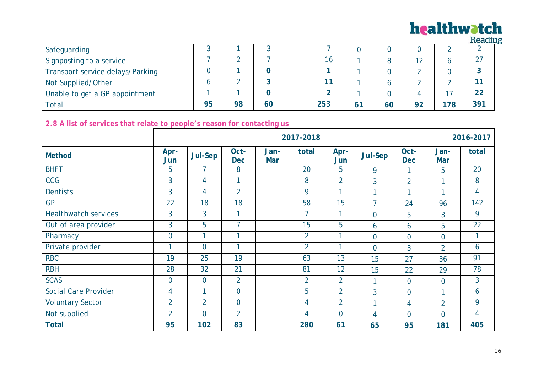# **healthwatch**

|                                  |    |    |    |     |    |    |    |     | neduil. |
|----------------------------------|----|----|----|-----|----|----|----|-----|---------|
| Safeguarding                     |    |    |    |     |    |    |    |     |         |
| Signposting to a service         |    |    |    | 16  |    |    | 12 |     | 27      |
| Transport service delays/Parking |    |    |    |     |    |    |    |     |         |
| Not Supplied/Other               |    |    |    |     |    |    |    |     |         |
| Unable to get a GP appointment   |    |    |    |     |    |    |    |     | 22      |
| Total                            | 95 | 98 | 60 | 253 | 61 | 60 | 92 | 178 | 391     |

### **2.8 A list of services that relate to people's reason for contacting us**

|                             |                |                |                    |                    | 2017-2018      | 2016-2017      |                |                    |                    |                |  |
|-----------------------------|----------------|----------------|--------------------|--------------------|----------------|----------------|----------------|--------------------|--------------------|----------------|--|
| <b>Method</b>               | Apr-<br>Jun    | Jul-Sep        | Oct-<br><b>Dec</b> | Jan-<br><b>Mar</b> | total          | Apr-<br>Jun    | Jul-Sep        | Oct-<br><b>Dec</b> | Jan-<br><b>Mar</b> | total          |  |
| <b>BHFT</b>                 | 5              | 7              | 8                  |                    | 20             | $5\phantom{.}$ | 9              |                    | 5                  | 20             |  |
| <b>CCG</b>                  | $\overline{3}$ | 4              | $\overline{1}$     |                    | 8              | $\overline{2}$ | $\overline{3}$ | $\overline{2}$     | 1                  | 8              |  |
| <b>Dentists</b>             | 3              | 4              | $\overline{2}$     |                    | 9              | 1              |                |                    | 1                  | 4              |  |
| <b>GP</b>                   | 22             | 18             | 18                 |                    | 58             | 15             |                | 24                 | 96                 | 142            |  |
| <b>Healthwatch services</b> | 3              | $\mathbf{3}$   | и                  |                    | $\overline{7}$ | 1              | $\overline{0}$ | 5                  | 3                  | 9              |  |
| Out of area provider        | 3              | 5              | $\overline{7}$     |                    | 15             | 5              | 6              | 6                  | 5                  | 22             |  |
| Pharmacy                    | $\overline{0}$ | и              | и                  |                    | $\overline{2}$ | 1              | $\overline{0}$ | $\overline{0}$     | $\overline{0}$     | 1              |  |
| Private provider            | 1              | $\overline{0}$ | и                  |                    | $\overline{2}$ | 1              | $\overline{0}$ | 3                  | $\overline{2}$     | 6              |  |
| <b>RBC</b>                  | 19             | 25             | 19                 |                    | 63             | 13             | 15             | 27                 | 36                 | 91             |  |
| <b>RBH</b>                  | 28             | 32             | 21                 |                    | 81             | 12             | 15             | 22                 | 29                 | 78             |  |
| <b>SCAS</b>                 | $\mathbf 0$    | $\overline{0}$ | $\overline{2}$     |                    | $\overline{2}$ | $\overline{2}$ | 1              | $\overline{0}$     | $\overline{0}$     | $\overline{3}$ |  |
| <b>Social Care Provider</b> | 4              |                | $\mathbf 0$        |                    | 5              | $\overline{2}$ | $\overline{3}$ | $\overline{0}$     | 1                  | 6              |  |
| <b>Voluntary Sector</b>     | $\overline{2}$ | $\overline{2}$ | $\mathbf 0$        |                    | 4              | $\overline{2}$ | и              | $\overline{4}$     | $\overline{2}$     | 9              |  |
| Not supplied                | $\overline{2}$ | $\Omega$       | $\overline{2}$     |                    | 4              | $\overline{0}$ | 4              | $\overline{0}$     | $\overline{0}$     | $\overline{4}$ |  |
| <b>Total</b>                | 95             | 102            | 83                 |                    | 280            | 61             | 65             | 95                 | 181                | 405            |  |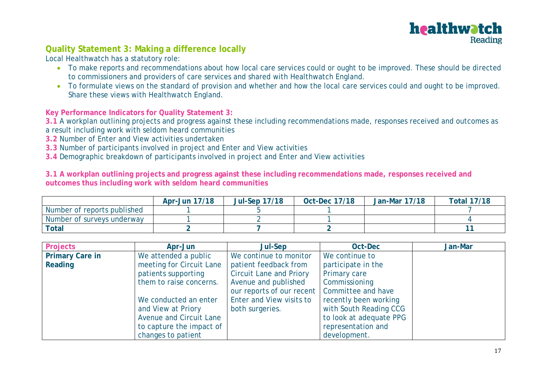

### **Quality Statement 3: Making a difference locally**

Local Healthwatch has a statutory role:

- To make reports and recommendations about how local care services could or ought to be improved. These should be directed to commissioners and providers of care services and shared with Healthwatch England.
- To formulate views on the standard of provision and whether and how the local care services could and ought to be improved. Share these views with Healthwatch England.

### **Key Performance Indicators for Quality Statement 3:**

**3.1** A workplan outlining projects and progress against these including recommendations made, responses received and outcomes as a result including work with seldom heard communities

- **3.2** Number of Enter and View activities undertaken
- **3.3** Number of participants involved in project and Enter and View activities
- **3.4** Demographic breakdown of participants involved in project and Enter and View activities

**3.1 A workplan outlining projects and progress against these including recommendations made, responses received and outcomes thus including work with seldom heard communities**

|                             | Apr-Jun 17/18 | <b>Jul-Sep 17/18</b> | <b>Oct-Dec 17/18</b> | <b>Jan-Mar 17/18</b> | <b>Total 17/18</b> |
|-----------------------------|---------------|----------------------|----------------------|----------------------|--------------------|
| Number of reports published |               |                      |                      |                      |                    |
| Number of surveys underway  |               |                      |                      |                      |                    |
| <b>Total</b>                |               |                      |                      |                      |                    |

| <b>Projects</b>        | Apr-Jun                  | Jul-Sep                                        | Oct-Dec                 | Jan-Mar |
|------------------------|--------------------------|------------------------------------------------|-------------------------|---------|
| <b>Primary Care in</b> | We attended a public     | We continue to monitor                         | We continue to          |         |
| Reading                | meeting for Circuit Lane | patient feedback from                          | participate in the      |         |
|                        | patients supporting      | Circuit Lane and Priory                        | Primary care            |         |
|                        | them to raise concerns.  | Avenue and published                           | Commissioning           |         |
|                        |                          | our reports of our recent   Committee and have |                         |         |
|                        | We conducted an enter    | Enter and View visits to                       | recently been working   |         |
|                        | and View at Priory       | both surgeries.                                | with South Reading CCG  |         |
|                        | Avenue and Circuit Lane  |                                                | to look at adequate PPG |         |
|                        | to capture the impact of |                                                | representation and      |         |
|                        | changes to patient       |                                                | development.            |         |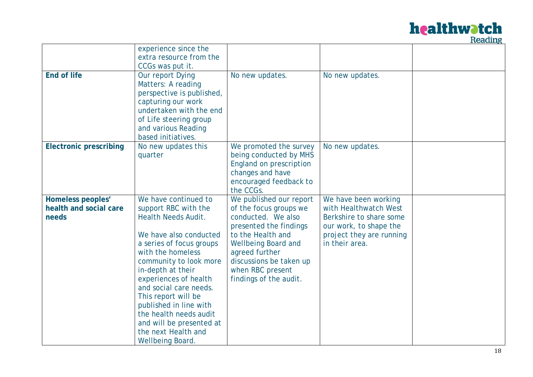|                                                      |                                                                                                                                                                                                                                                                                                                                                                                                           |                                                                                                                                                                                                                                                 |                                                                                                                                                  | neaulig |
|------------------------------------------------------|-----------------------------------------------------------------------------------------------------------------------------------------------------------------------------------------------------------------------------------------------------------------------------------------------------------------------------------------------------------------------------------------------------------|-------------------------------------------------------------------------------------------------------------------------------------------------------------------------------------------------------------------------------------------------|--------------------------------------------------------------------------------------------------------------------------------------------------|---------|
|                                                      | experience since the<br>extra resource from the<br>CCGs was put it.                                                                                                                                                                                                                                                                                                                                       |                                                                                                                                                                                                                                                 |                                                                                                                                                  |         |
| <b>End of life</b>                                   | Our report Dying<br>Matters: A reading<br>perspective is published,<br>capturing our work<br>undertaken with the end<br>of Life steering group<br>and various Reading<br>based initiatives.                                                                                                                                                                                                               | No new updates.                                                                                                                                                                                                                                 | No new updates.                                                                                                                                  |         |
| <b>Electronic prescribing</b>                        | No new updates this<br>quarter                                                                                                                                                                                                                                                                                                                                                                            | We promoted the survey<br>being conducted by MHS<br>England on prescription<br>changes and have<br>encouraged feedback to<br>the CCGs.                                                                                                          | No new updates.                                                                                                                                  |         |
| Homeless peoples'<br>health and social care<br>needs | We have continued to<br>support RBC with the<br><b>Health Needs Audit.</b><br>We have also conducted<br>a series of focus groups<br>with the homeless<br>community to look more<br>in-depth at their<br>experiences of health<br>and social care needs.<br>This report will be<br>published in line with<br>the health needs audit<br>and will be presented at<br>the next Health and<br>Wellbeing Board. | We published our report<br>of the focus groups we<br>conducted. We also<br>presented the findings<br>to the Health and<br><b>Wellbeing Board and</b><br>agreed further<br>discussions be taken up<br>when RBC present<br>findings of the audit. | We have been working<br>with Healthwatch West<br>Berkshire to share some<br>our work, to shape the<br>project they are running<br>in their area. |         |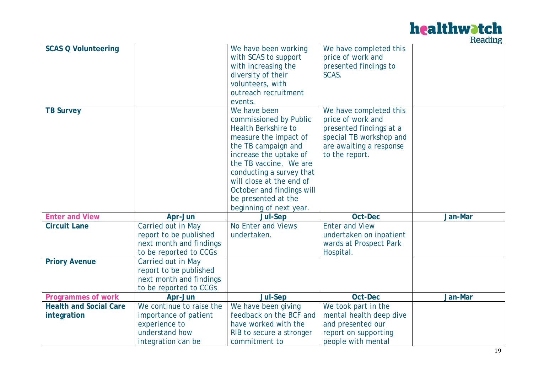

|                               |                                                                                                   |                                                                                                                                                                                                                                                                                                                 |                                                                                                                                                | neaulig |
|-------------------------------|---------------------------------------------------------------------------------------------------|-----------------------------------------------------------------------------------------------------------------------------------------------------------------------------------------------------------------------------------------------------------------------------------------------------------------|------------------------------------------------------------------------------------------------------------------------------------------------|---------|
| <b>SCAS Q Volunteering</b>    |                                                                                                   | We have been working<br>with SCAS to support<br>with increasing the<br>diversity of their<br>volunteers, with<br>outreach recruitment<br>events.                                                                                                                                                                | We have completed this<br>price of work and<br>presented findings to<br>SCAS.                                                                  |         |
| <b>TB Survey</b>              |                                                                                                   | We have been<br>commissioned by Public<br><b>Health Berkshire to</b><br>measure the impact of<br>the TB campaign and<br>increase the uptake of<br>the TB vaccine. We are<br>conducting a survey that<br>will close at the end of<br>October and findings will<br>be presented at the<br>beginning of next year. | We have completed this<br>price of work and<br>presented findings at a<br>special TB workshop and<br>are awaiting a response<br>to the report. |         |
| <b>Enter and View</b>         | Apr-Jun                                                                                           | <b>Jul-Sep</b>                                                                                                                                                                                                                                                                                                  | Oct-Dec                                                                                                                                        | Jan-Mar |
| <b>Circuit Lane</b>           | Carried out in May<br>report to be published<br>next month and findings<br>to be reported to CCGs | No Enter and Views<br>undertaken.                                                                                                                                                                                                                                                                               | <b>Enter and View</b><br>undertaken on inpatient<br>wards at Prospect Park<br>Hospital.                                                        |         |
| <b>Priory Avenue</b>          | Carried out in May<br>report to be published<br>next month and findings<br>to be reported to CCGs |                                                                                                                                                                                                                                                                                                                 |                                                                                                                                                |         |
| <b>Programmes of work</b>     | Apr-Jun                                                                                           | <b>Jul-Sep</b>                                                                                                                                                                                                                                                                                                  | <b>Oct-Dec</b>                                                                                                                                 | Jan-Mar |
| <b>Health and Social Care</b> | We continue to raise the                                                                          | We have been giving                                                                                                                                                                                                                                                                                             | We took part in the                                                                                                                            |         |
| integration                   | importance of patient                                                                             | feedback on the BCF and                                                                                                                                                                                                                                                                                         | mental health deep dive                                                                                                                        |         |
|                               | experience to                                                                                     | have worked with the                                                                                                                                                                                                                                                                                            | and presented our                                                                                                                              |         |
|                               | understand how                                                                                    | RIB to secure a stronger                                                                                                                                                                                                                                                                                        | report on supporting                                                                                                                           |         |
|                               | integration can be                                                                                | commitment to                                                                                                                                                                                                                                                                                                   | people with mental                                                                                                                             |         |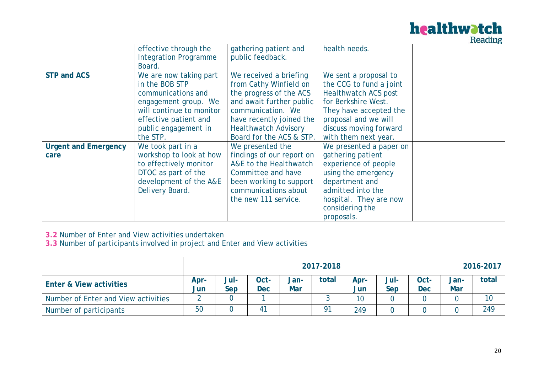|                                     |                                                                                                                                                                                 |                                                                                                                                                                                                                     |                                                                                                                                                                                                            | neaulig |
|-------------------------------------|---------------------------------------------------------------------------------------------------------------------------------------------------------------------------------|---------------------------------------------------------------------------------------------------------------------------------------------------------------------------------------------------------------------|------------------------------------------------------------------------------------------------------------------------------------------------------------------------------------------------------------|---------|
|                                     | effective through the<br><b>Integration Programme</b><br>Board.                                                                                                                 | gathering patient and<br>public feedback.                                                                                                                                                                           | health needs.                                                                                                                                                                                              |         |
| <b>STP and ACS</b>                  | We are now taking part<br>in the BOB STP<br>communications and<br>engagement group. We<br>will continue to monitor<br>effective patient and<br>public engagement in<br>the STP. | We received a briefing<br>from Cathy Winfield on<br>the progress of the ACS<br>and await further public<br>communication. We<br>have recently joined the<br><b>Healthwatch Advisory</b><br>Board for the ACS & STP. | We sent a proposal to<br>the CCG to fund a joint<br><b>Healthwatch ACS post</b><br>for Berkshire West.<br>They have accepted the<br>proposal and we will<br>discuss moving forward<br>with them next year. |         |
| <b>Urgent and Emergency</b><br>care | We took part in a<br>workshop to look at how<br>to effectively monitor<br>DTOC as part of the<br>development of the A&E<br>Delivery Board.                                      | We presented the<br>findings of our report on<br>A&E to the Healthwatch<br>Committee and have<br>been working to support<br>communications about<br>the new 111 service.                                            | We presented a paper on<br>gathering patient<br>experience of people<br>using the emergency<br>department and<br>admitted into the<br>hospital. They are now<br>considering the<br>proposals.              |         |

**3.2** Number of Enter and View activities undertaken

**3.3** Number of participants involved in project and Enter and View activities

|                                     |             | 2017-2018<br>2016-2017 |                    |                    |                |             |             |                    |                    |       |
|-------------------------------------|-------------|------------------------|--------------------|--------------------|----------------|-------------|-------------|--------------------|--------------------|-------|
| <b>Enter &amp; View activities</b>  | Apr-<br>Jun | Jul-<br>Sep            | Oct-<br><b>Dec</b> | Jan-<br><b>Mar</b> | total          | Apr-<br>Jun | Jul-<br>Sep | Oct-<br><b>Dec</b> | Jan-<br><b>Mar</b> | total |
| Number of Enter and View activities |             |                        |                    |                    |                | 10          |             |                    |                    | 10    |
| Number of participants              | 50          |                        | 41                 |                    | O <sub>1</sub> | 249         |             |                    |                    | 249   |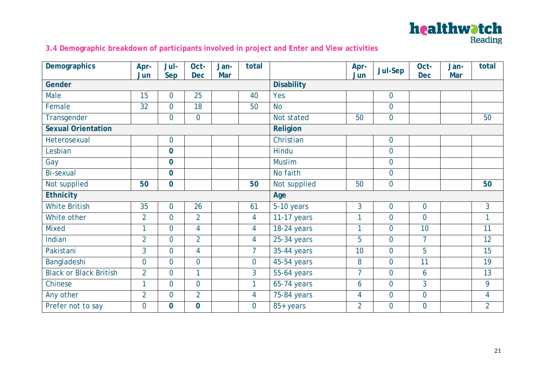

### **3.4 Demographic breakdown of participants involved in project and Enter and View activities**

| <b>Demographics</b>           | Apr-           | Jul-           | Oct-           | Jan-       | total          |                           | Apr-           | <b>Jul-Sep</b>   | Oct-           | Jan- | total          |
|-------------------------------|----------------|----------------|----------------|------------|----------------|---------------------------|----------------|------------------|----------------|------|----------------|
| Gender                        | Jun            | Sep            | <b>Dec</b>     | <b>Mar</b> |                | <b>Disability</b>         | Jun            |                  | <b>Dec</b>     | Mar  |                |
| Male                          | 15             | $\overline{0}$ | 25             |            | 40             | Yes                       |                | $\mathbf 0$      |                |      |                |
| Female                        | 32             | $\overline{0}$ | 18             |            | 50             | <b>No</b>                 |                | $\mathbf{0}$     |                |      |                |
| Transgender                   |                | $\overline{0}$ | $\overline{0}$ |            |                | Not stated                | 50             | $\mathbf 0$      |                |      | 50             |
| <b>Sexual Orientation</b>     |                |                |                |            |                |                           |                |                  |                |      |                |
|                               |                |                |                |            |                | Religion                  |                |                  |                |      |                |
| Heterosexual                  |                | $\overline{0}$ |                |            |                | Christian                 |                | $\boldsymbol{0}$ |                |      |                |
| Lesbian                       |                | $\overline{0}$ |                |            |                | <b>Hindu</b>              |                | $\overline{0}$   |                |      |                |
| Gay                           |                | $\mathbf 0$    |                |            |                | <b>Muslim</b>             |                | $\overline{0}$   |                |      |                |
| <b>Bi-sexual</b>              |                | $\mathbf 0$    |                |            |                | No faith                  |                | $\mathbf 0$      |                |      |                |
| Not supplied                  | 50             | $\mathbf 0$    |                |            | 50             | Not supplied              | 50             | $\mathbf 0$      |                |      | 50             |
| <b>Ethnicity</b>              |                |                |                |            |                | Age                       |                |                  |                |      |                |
| <b>White British</b>          | 35             | $\overline{0}$ | 26             |            | 61             | 5-10 years                | 3              | $\mathbf{0}$     | $\mathbf 0$    |      | $\overline{3}$ |
| White other                   | $\overline{2}$ | $\overline{0}$ | $\overline{2}$ |            | $\overline{4}$ | 11-17 years               | 1              | $\overline{0}$   | $\overline{0}$ |      | $\mathbf{1}$   |
| <b>Mixed</b>                  | 1              | $\overline{0}$ | 4              |            | $\overline{4}$ | 18-24 years               | $\mathbf{1}$   | $\overline{0}$   | 10             |      | 11             |
| Indian                        | $\overline{2}$ | $\overline{0}$ | $\overline{2}$ |            | $\overline{4}$ | $25-34$ years             | 5              | $\overline{0}$   | $\overline{7}$ |      | 12             |
| Pakistani                     | 3              | $\overline{0}$ | $\overline{4}$ |            | $\overline{7}$ | 35-44 years               | 10             | $\overline{0}$   | 5              |      | 15             |
| Bangladeshi                   | $\overline{0}$ | $\overline{0}$ | $\overline{0}$ |            | $\mathbf 0$    | 45-54 years               | 8              | $\overline{0}$   | 11             |      | 19             |
| <b>Black or Black British</b> | $\overline{2}$ | $\overline{0}$ | 1              |            | $\overline{3}$ | $\overline{5}$ 5-64 years | $\overline{7}$ | $\mathbf{0}$     | 6              |      | 13             |
| Chinese                       | 1              | $\overline{0}$ | $\overline{0}$ |            | $\mathbf{1}$   | $65-74$ years             | 6              | $\overline{0}$   | 3              |      | 9              |
| Any other                     | $\overline{2}$ | $\overline{0}$ | $\overline{2}$ |            | 4              | 75-84 years               | 4              | $\overline{0}$   | $\overline{0}$ |      | $\overline{4}$ |
| Prefer not to say             | $\mathbf 0$    | $\mathbf 0$    | $\mathbf 0$    |            | $\overline{0}$ | 85+ years                 | $\overline{2}$ | $\overline{0}$   | $\mathbf 0$    |      | $\overline{2}$ |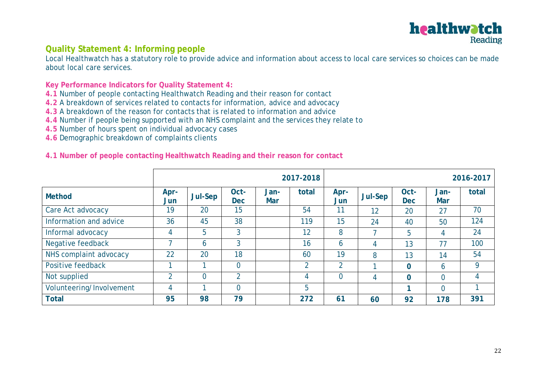

### **Quality Statement 4: Informing people**

Local Healthwatch has a statutory role to provide advice and information about access to local care services so choices can be made about local care services.

**Key Performance Indicators for Quality Statement 4:**

- **4.1** Number of people contacting Healthwatch Reading and their reason for contact
- **4.2** A breakdown of services related to contacts for information, advice and advocacy
- **4.3** A breakdown of the reason for contacts that is related to information and advice
- **4.4** Number if people being supported with an NHS complaint and the services they relate to
- **4.5** Number of hours spent on individual advocacy cases
- **4.6** Demographic breakdown of complaints clients

**4.1 Number of people contacting Healthwatch Reading and their reason for contact** 

|                          |                |                |                    |             | 2017-2018      |                |         |                    |                    | 2016-2017 |
|--------------------------|----------------|----------------|--------------------|-------------|----------------|----------------|---------|--------------------|--------------------|-----------|
| <b>Method</b>            | Apr-<br>Jun    | <b>Jul-Sep</b> | Oct-<br><b>Dec</b> | Jan-<br>Mar | total          | Apr-<br>Jun    | Jul-Sep | Oct-<br><b>Dec</b> | Jan-<br><b>Mar</b> | total     |
| Care Act advocacy        | 19             | 20             | 15                 |             | 54             | 11             | 12      | 20                 | 27                 | 70        |
| Information and advice   | 36             | 45             | 38                 |             | 119            | 15             | 24      | 40                 | 50                 | 124       |
| Informal advocacy        | 4              | 5              | 3                  |             | 12             | 8              |         | 5                  |                    | 24        |
| Negative feedback        |                | <sub>b</sub>   | 3                  |             | 16             | 6              |         | 13                 | 77                 | 100       |
| NHS complaint advocacy   | 22             | 20             | 18                 |             | 60             | 19             | 8       | 13                 | 14                 | 54        |
| Positive feedback        |                |                | $\overline{0}$     |             | $\overline{2}$ | $\overline{2}$ |         | $\bf{0}$           | 6                  | 9         |
| Not supplied             | $\mathfrak{p}$ |                | $\overline{2}$     |             | 4              | $\Omega$       |         | $\overline{0}$     | 0                  | 4         |
| Volunteering/Involvement | 4              |                | $\overline{0}$     |             | 5              |                |         |                    | 0                  |           |
| <b>Total</b>             | 95             | 98             | 79                 |             | 272            | 61             | 60      | 92                 | 178                | 391       |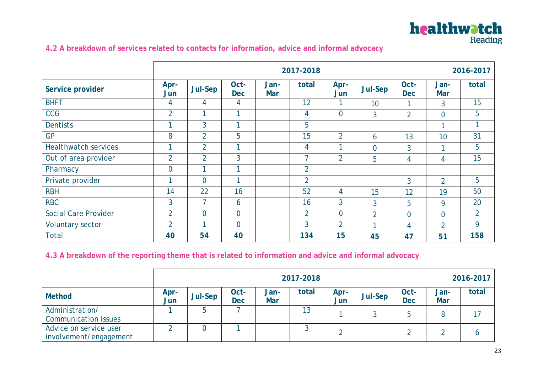

### **4.2 A breakdown of services related to contacts for information, advice and informal advocacy**

|                             |                |                |                      |             | 2017-2018      |                |                |                    |                    | 2016-2017      |
|-----------------------------|----------------|----------------|----------------------|-------------|----------------|----------------|----------------|--------------------|--------------------|----------------|
| Service provider            | Apr-<br>Jun    | Jul-Sep        | Oct-<br><b>Dec</b>   | Jan-<br>Mar | total          | Apr-<br>Jun    | Jul-Sep        | Oct-<br><b>Dec</b> | Jan-<br><b>Mar</b> | total          |
| <b>BHFT</b>                 | 4              | 4              | 4                    |             | 12             |                | 10             |                    | 3                  | 15             |
| <b>CCG</b>                  | $\overline{2}$ |                | $\mathbf{1}$         |             | 4              | $\overline{0}$ | 3              | $\overline{2}$     | $\overline{0}$     | 5              |
| <b>Dentists</b>             | ◀              | 3              | 1                    |             | 5              |                |                |                    | ◀                  | 1              |
| <b>GP</b>                   | 8              | $\overline{2}$ | 5                    |             | 15             | $\overline{2}$ | 6              | 13                 | 10                 | 31             |
| <b>Healthwatch services</b> | и              | $\overline{2}$ | $\mathbf 1$          |             | 4              | 4              | $\overline{0}$ | $\overline{3}$     | ◀                  | 5              |
| Out of area provider        | $\overline{2}$ | $\overline{2}$ | 3                    |             | $\overline{7}$ | $\overline{2}$ | 5              | 4                  | 4                  | 15             |
| Pharmacy                    | $\overline{0}$ |                | $\blacktriangleleft$ |             | $\overline{2}$ |                |                |                    |                    |                |
| Private provider            | и              | $\overline{0}$ | и                    |             | $\overline{2}$ |                |                | 3                  | $\overline{2}$     | 5              |
| <b>RBH</b>                  | 14             | 22             | 16                   |             | 52             | 4              | 15             | 12                 | 19                 | 50             |
| <b>RBC</b>                  | $\overline{3}$ | 7              | 6                    |             | 16             | 3              | 3              | 5                  | 9                  | 20             |
| <b>Social Care Provider</b> | $\overline{2}$ | $\overline{0}$ | $\overline{0}$       |             | $\overline{2}$ | $\overline{0}$ | $\overline{2}$ | $\overline{0}$     | $\overline{0}$     | $\overline{2}$ |
| Voluntary sector            | $\overline{2}$ |                | $\overline{0}$       |             | 3              | $\overline{2}$ |                | 4                  | $\overline{2}$     | 9              |
| <b>Total</b>                | 40             | 54             | 40                   |             | 134            | 15             | 45             | 47                 | 51                 | 158            |

### **4.3 A breakdown of the reporting theme that is related to information and advice and informal advocacy**

|                                                  |             |                |                    |                    |       |             | 2016-2017 |                    |             |              |
|--------------------------------------------------|-------------|----------------|--------------------|--------------------|-------|-------------|-----------|--------------------|-------------|--------------|
| <b>Method</b>                                    | Apr-<br>Jun | <b>Jul-Sep</b> | Oct-<br><b>Dec</b> | Jan-<br><b>Mar</b> | total | Apr-<br>Jun | Jul-Sep   | Oct-<br><b>Dec</b> | Jan-<br>Mar | total        |
| Administration/<br><b>Communication issues</b>   |             |                |                    |                    | 13    |             |           | b                  |             |              |
| Advice on service user<br>involvement/engagement |             |                |                    |                    |       |             |           |                    |             | <sub>0</sub> |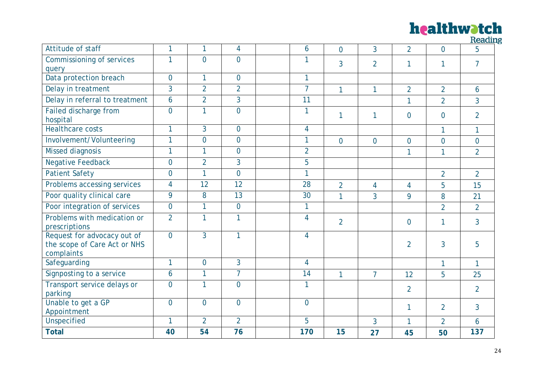# **healthwatch**

|                                                                           |                |                |                |                |                |                |                |                | reagu          |
|---------------------------------------------------------------------------|----------------|----------------|----------------|----------------|----------------|----------------|----------------|----------------|----------------|
| Attitude of staff                                                         | $\mathbf{1}$   | 1              | 4              | 6              | $\overline{0}$ | 3              | $\overline{2}$ | $\overline{0}$ | 5              |
| <b>Commissioning of services</b><br>query                                 | $\mathbf{1}$   | $\overline{0}$ | $\overline{0}$ | 1              | $\overline{3}$ | $\overline{2}$ | 1              | 1              | $\overline{7}$ |
| Data protection breach                                                    | $\overline{0}$ | 1              | $\overline{0}$ | 1              |                |                |                |                |                |
| Delay in treatment                                                        | $\overline{3}$ | $\overline{2}$ | $\overline{2}$ | $\overline{7}$ | 1              | $\mathbf{1}$   | $\overline{2}$ | $\overline{2}$ | 6              |
| Delay in referral to treatment                                            | 6              | $\overline{2}$ | $\overline{3}$ | 11             |                |                | 1              | $\overline{2}$ | $\overline{3}$ |
| Failed discharge from<br>hospital                                         | $\overline{0}$ | $\mathbf{1}$   | $\overline{0}$ | 1              | 1              |                | $\overline{0}$ | $\overline{0}$ | $\overline{2}$ |
| Healthcare costs                                                          | $\mathbf{1}$   | $\overline{3}$ | $\mathbf 0$    | 4              |                |                |                | $\mathbf{1}$   | 1              |
| Involvement/Volunteering                                                  | $\mathbf{1}$   | $\overline{0}$ | $\overline{0}$ | $\mathbf{1}$   | $\overline{0}$ | $\overline{0}$ | $\overline{0}$ | $\overline{0}$ | $\overline{0}$ |
| <b>Missed diagnosis</b>                                                   | $\mathbf{1}$   | $\mathbf{1}$   | $\overline{0}$ | $\overline{2}$ |                |                | 1              | $\mathbf{1}$   | $\overline{2}$ |
| <b>Negative Feedback</b>                                                  | $\overline{0}$ | $\overline{2}$ | 3              | 5              |                |                |                |                |                |
| <b>Patient Safety</b>                                                     | $\overline{0}$ | 1              | $\overline{0}$ | $\mathbf{1}$   |                |                |                | $\overline{2}$ | $\overline{2}$ |
| Problems accessing services                                               | $\overline{4}$ | 12             | 12             | 28             | $\overline{2}$ | $\overline{4}$ | 4              | 5              | 15             |
| Poor quality clinical care                                                | 9              | 8              | 13             | 30             | 1              | $\overline{3}$ | 9              | 8              | 21             |
| Poor integration of services                                              | $\overline{0}$ | $\mathbf{1}$   | $\mathbf 0$    | 1              |                |                |                | $\overline{2}$ | $\overline{2}$ |
| Problems with medication or<br>prescriptions                              | $\overline{2}$ | $\mathbf{1}$   | $\mathbf{1}$   | 4              | $\overline{2}$ |                | $\overline{0}$ | 1              | $\overline{3}$ |
| Request for advocacy out of<br>the scope of Care Act or NHS<br>complaints | $\overline{0}$ | $\overline{3}$ | $\mathbf{1}$   | 4              |                |                | $\overline{2}$ | 3              | 5              |
| Safeguarding                                                              | $\mathbf{1}$   | $\overline{0}$ | 3              | $\overline{4}$ |                |                |                | 1              | 1              |
| Signposting to a service                                                  | 6              | $\mathbf{1}$   | $\overline{7}$ | 14             | 1              | $\overline{7}$ | 12             | 5              | 25             |
| Transport service delays or<br>parking                                    | $\overline{0}$ | $\mathbf{1}$   | $\overline{0}$ | 1              |                |                | $\overline{2}$ |                | $\overline{2}$ |
| Unable to get a GP<br>Appointment                                         | $\overline{0}$ | $\overline{0}$ | $\overline{0}$ | $\overline{0}$ |                |                | 1              | $\overline{2}$ | $\overline{3}$ |
| Unspecified                                                               | $\mathbf{1}$   | $\overline{2}$ | $\overline{2}$ | 5              |                | $\overline{3}$ | 1              | $\overline{2}$ | 6              |
| <b>Total</b>                                                              | 40             | 54             | 76             | 170            | 15             | 27             | 45             | 50             | 137            |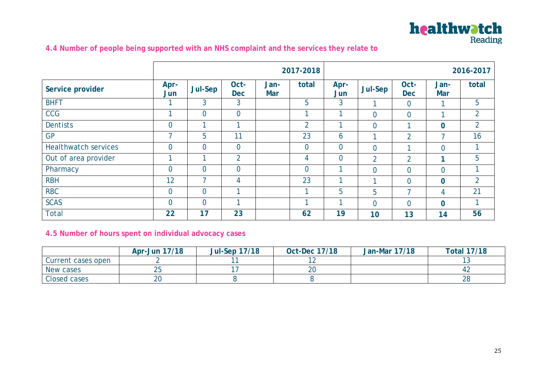

### **4.4 Number of people being supported with an NHS complaint and the services they relate to**

|                             |                |                |                    |                    | 2017-2018      |                |                |                    |                    | 2016-2017      |
|-----------------------------|----------------|----------------|--------------------|--------------------|----------------|----------------|----------------|--------------------|--------------------|----------------|
| Service provider            | Apr-<br>Jun    | Jul-Sep        | Oct-<br><b>Dec</b> | Jan-<br><b>Mar</b> | total          | Apr-<br>Jun    | Jul-Sep        | Oct-<br><b>Dec</b> | Jan-<br><b>Mar</b> | total          |
| <b>BHFT</b>                 |                | 3              | 3                  |                    | 5              | 3              |                | $\overline{0}$     |                    | 5              |
| <b>CCG</b>                  | 1              | $\overline{0}$ | $\overline{0}$     |                    | и              | 1              | $\overline{0}$ | $\overline{0}$     | и                  | $\overline{2}$ |
| <b>Dentists</b>             | $\overline{0}$ |                |                    |                    | $\overline{2}$ | ◀              | $\overline{0}$ |                    | $\bf{0}$           | $\overline{2}$ |
| <b>GP</b>                   | 7              | 5              | 11                 |                    | 23             | 6              |                | $\overline{2}$     | ┓                  | 16             |
| <b>Healthwatch services</b> | $\overline{0}$ | $\overline{0}$ | $\overline{0}$     |                    | $\overline{0}$ | $\overline{0}$ | $\overline{0}$ |                    | 0                  | 1              |
| Out of area provider        |                |                | $\overline{2}$     |                    | 4              | $\overline{0}$ | $\overline{2}$ | $\overline{2}$     | 1                  | 5              |
| Pharmacy                    | $\overline{0}$ | $\overline{0}$ | $\overline{0}$     |                    | $\overline{0}$ | ◀              | $\overline{0}$ | $\overline{0}$     | 0                  | 1              |
| <b>RBH</b>                  | 12             |                | 4                  |                    | 23             | 1              |                | $\overline{0}$     | $\mathbf 0$        | $\overline{2}$ |
| <b>RBC</b>                  | $\overline{0}$ | $\overline{0}$ |                    |                    |                | 5              | 5              |                    | 4                  | 21             |
| <b>SCAS</b>                 | $\overline{0}$ | $\overline{0}$ |                    |                    |                | 1              | $\overline{0}$ | $\overline{0}$     | $\mathbf 0$        | 1              |
| <b>Total</b>                | 22             | 17             | 23                 |                    | 62             | 19             | 10             | 13                 | 14                 | 56             |

### **4.5 Number of hours spent on individual advocacy cases**

|                    | Apr-Jun 17/18 | <b>Jul-Sep 17/18</b> | <b>Oct-Dec 17/18</b> | <b>Jan-Mar 17/18</b> | <b>Total 17/18</b> |
|--------------------|---------------|----------------------|----------------------|----------------------|--------------------|
| Current cases open |               |                      |                      |                      |                    |
| New cases          | ∠J            |                      |                      |                      |                    |
| Closed cases       | $\sim$        |                      |                      |                      |                    |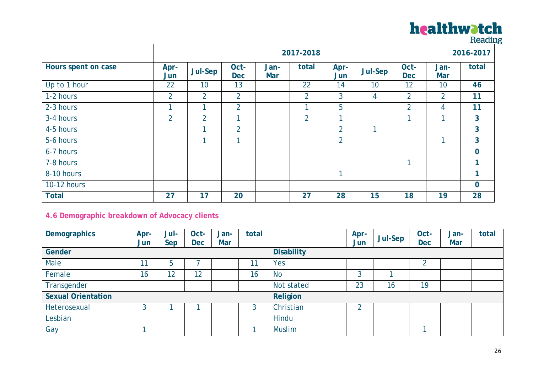|                     |                |                |                    |                    |                |                |         |                    |                | neaull.        |
|---------------------|----------------|----------------|--------------------|--------------------|----------------|----------------|---------|--------------------|----------------|----------------|
|                     |                |                |                    |                    | 2017-2018      |                |         |                    |                | 2016-2017      |
| Hours spent on case | Apr-<br>Jun    | Jul-Sep        | Oct-<br><b>Dec</b> | Jan-<br><b>Mar</b> | total          | Apr-<br>Jun    | Jul-Sep | Oct-<br><b>Dec</b> | Jan-<br>Mar    | total          |
| Up to 1 hour        | 22             | 10             | 13                 |                    | 22             | 14             | 10      | 12                 | 10             | 46             |
| 1-2 hours           | $\overline{2}$ | $\overline{2}$ | $\overline{2}$     |                    | $\overline{2}$ | $\overline{3}$ | 4       | $\overline{2}$     | $\overline{2}$ | 11             |
| 2-3 hours           | ◀              |                | $\overline{2}$     |                    | и              | 5              |         | $\overline{2}$     | 4              | 11             |
| 3-4 hours           | $\overline{2}$ | $\overline{2}$ | и                  |                    | $\overline{2}$ | 1              |         |                    | 4              | $\mathbf{3}$   |
| 4-5 hours           |                |                | $\overline{2}$     |                    |                | $\overline{2}$ |         |                    |                | $\overline{3}$ |
| 5-6 hours           |                | и              | 1                  |                    |                | $\overline{2}$ |         |                    | 4              | $\mathbf{3}$   |
| 6-7 hours           |                |                |                    |                    |                |                |         |                    |                | $\mathbf 0$    |
| 7-8 hours           |                |                |                    |                    |                |                |         |                    |                | $\mathbf{1}$   |
| 8-10 hours          |                |                |                    |                    |                | 1              |         |                    |                | $\mathbf{1}$   |
| 10-12 hours         |                |                |                    |                    |                |                |         |                    |                | $\mathbf 0$    |
| <b>Total</b>        | 27             | 17             | 20                 |                    | 27             | 28             | 15      | 18                 | 19             | 28             |

### **4.6 Demographic breakdown of Advocacy clients**

| <b>Demographics</b>       | Apr-<br>Jun | Jul-<br>Sep | Oct-<br>Dec | Jan-<br><b>Mar</b> | total |                   | Apr-<br>Jun | Jul-Sep | Oct-<br><b>Dec</b> | Jan-<br>Mar | total |
|---------------------------|-------------|-------------|-------------|--------------------|-------|-------------------|-------------|---------|--------------------|-------------|-------|
| Gender                    |             |             |             |                    |       | <b>Disability</b> |             |         |                    |             |       |
| Male                      |             | b           |             |                    | 11    | Yes               |             |         | C                  |             |       |
| Female                    | 16          | 12          | 12          |                    | 16    | <b>No</b>         |             |         |                    |             |       |
| Transgender               |             |             |             |                    |       | Not stated        | 23          | 16      | 19                 |             |       |
| <b>Sexual Orientation</b> |             |             |             |                    |       | Religion          |             |         |                    |             |       |
| Heterosexual              | 3           |             |             |                    | 3     | Christian         |             |         |                    |             |       |
| Lesbian                   |             |             |             |                    |       | Hindu             |             |         |                    |             |       |
| Gay                       |             |             |             |                    |       | <b>Muslim</b>     |             |         |                    |             |       |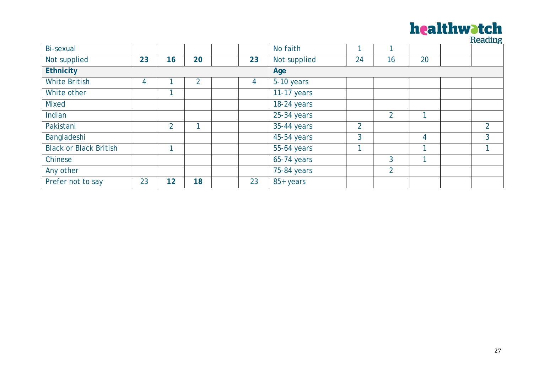### **healthwatch**

|                               |     |                |                |    |              |                |                |    |  | neaulig        |
|-------------------------------|-----|----------------|----------------|----|--------------|----------------|----------------|----|--|----------------|
| Bi-sexual                     |     |                |                |    | No faith     |                |                |    |  |                |
| Not supplied                  | 23  | 16             | 20             | 23 | Not supplied | 24             | 16             | 20 |  |                |
| <b>Ethnicity</b>              | Age |                |                |    |              |                |                |    |  |                |
| <b>White British</b>          | 4   |                | $\overline{2}$ | 4  | 5-10 years   |                |                |    |  |                |
| White other                   |     |                |                |    | 11-17 years  |                |                |    |  |                |
| <b>Mixed</b>                  |     |                |                |    | 18-24 years  |                |                |    |  |                |
| Indian                        |     |                |                |    | 25-34 years  |                | $\overline{2}$ |    |  |                |
| Pakistani                     |     | $\overline{2}$ |                |    | 35-44 years  | $\overline{2}$ |                |    |  | $\overline{2}$ |
| Bangladeshi                   |     |                |                |    | 45-54 years  | 3              |                | 4  |  | 3              |
| <b>Black or Black British</b> |     |                |                |    | 55-64 years  |                |                |    |  |                |
| Chinese                       |     |                |                |    | 65-74 years  |                | 3              |    |  |                |
| Any other                     |     |                |                |    | 75-84 years  |                | $\overline{2}$ |    |  |                |
| Prefer not to say             | 23  | 12             | 18             | 23 | 85+ years    |                |                |    |  |                |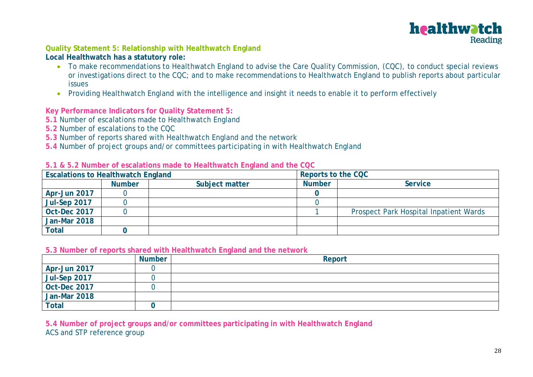

### **Quality Statement 5: Relationship with Healthwatch England**

### **Local Healthwatch has a statutory role:**

- To make recommendations to Healthwatch England to advise the Care Quality Commission, (CQC), to conduct special reviews or investigations direct to the CQC; and to make recommendations to Healthwatch England to publish reports about particular issues
- Providing Healthwatch England with the intelligence and insight it needs to enable it to perform effectively

#### **Key Performance Indicators for Quality Statement 5:**

- **5.1** Number of escalations made to Healthwatch England
- **5.2** Number of escalations to the CQC
- **5.3** Number of reports shared with Healthwatch England and the network
- **5.4** Number of project groups and/or committees participating in with Healthwatch England

### **5.1 & 5.2 Number of escalations made to Healthwatch England and the CQC**

| <b>Escalations to Healthwatch England</b> |               |                |               | Reports to the CQC                     |  |  |  |  |  |
|-------------------------------------------|---------------|----------------|---------------|----------------------------------------|--|--|--|--|--|
|                                           | <b>Number</b> | Subject matter | <b>Number</b> | <b>Service</b>                         |  |  |  |  |  |
| Apr-Jun 2017                              |               |                |               |                                        |  |  |  |  |  |
| <b>Jul-Sep 2017</b>                       |               |                |               |                                        |  |  |  |  |  |
| <b>Oct-Dec 2017</b>                       |               |                |               | Prospect Park Hospital Inpatient Wards |  |  |  |  |  |
| <b>Jan-Mar 2018</b>                       |               |                |               |                                        |  |  |  |  |  |
| <b>Total</b>                              |               |                |               |                                        |  |  |  |  |  |

#### **5.3 Number of reports shared with Healthwatch England and the network**

|                     | Number | Report |
|---------------------|--------|--------|
| Apr-Jun 2017        |        |        |
| <b>Jul-Sep 2017</b> |        |        |
| <b>Oct-Dec 2017</b> |        |        |
| <b>Jan-Mar 2018</b> |        |        |
| <b>Total</b>        |        |        |

#### **5.4 Number of project groups and/or committees participating in with Healthwatch England**  ACS and STP reference group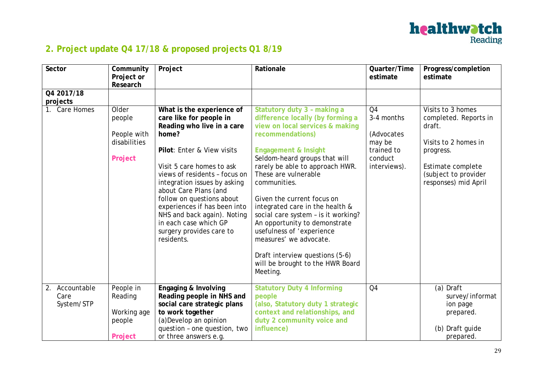

### **2. Project update Q4 17/18 & proposed projects Q1 8/19**

| Sector                               | Community<br>Project or<br>Research                       | Project                                                                                                                                                                                                                                                                                                                                                                                                         | Rationale                                                                                                                                                                                                                                                                                                                                                                                                                                                                                                                                                | Quarter/Time<br>estimate                                                                      | Progress/completion<br>estimate                                                                                                                                |
|--------------------------------------|-----------------------------------------------------------|-----------------------------------------------------------------------------------------------------------------------------------------------------------------------------------------------------------------------------------------------------------------------------------------------------------------------------------------------------------------------------------------------------------------|----------------------------------------------------------------------------------------------------------------------------------------------------------------------------------------------------------------------------------------------------------------------------------------------------------------------------------------------------------------------------------------------------------------------------------------------------------------------------------------------------------------------------------------------------------|-----------------------------------------------------------------------------------------------|----------------------------------------------------------------------------------------------------------------------------------------------------------------|
| Q4 2017/18<br>projects               |                                                           |                                                                                                                                                                                                                                                                                                                                                                                                                 |                                                                                                                                                                                                                                                                                                                                                                                                                                                                                                                                                          |                                                                                               |                                                                                                                                                                |
| 1. Care Homes                        | Older<br>people<br>People with<br>disabilities<br>Project | What is the experience of<br>care like for people in<br>Reading who live in a care<br>home?<br>Pilot: Enter & View visits<br>Visit 5 care homes to ask<br>views of residents - focus on<br>integration issues by asking<br>about Care Plans (and<br>follow on questions about<br>experiences if has been into<br>NHS and back again). Noting<br>in each case which GP<br>surgery provides care to<br>residents. | Statutory duty 3 - making a<br>difference locally (by forming a<br>view on local services & making<br>recommendations)<br><b>Engagement &amp; Insight</b><br>Seldom-heard groups that will<br>rarely be able to approach HWR.<br>These are vulnerable<br>communities.<br>Given the current focus on<br>integrated care in the health &<br>social care system - is it working?<br>An opportunity to demonstrate<br>usefulness of 'experience<br>measures' we advocate.<br>Draft interview questions (5-6)<br>will be brought to the HWR Board<br>Meeting. | Q <sub>4</sub><br>3-4 months<br>(Advocates<br>may be<br>trained to<br>conduct<br>interviews). | Visits to 3 homes<br>completed. Reports in<br>draft.<br>Visits to 2 homes in<br>progress.<br>Estimate complete<br>(subject to provider<br>responses) mid April |
| 2. Accountable<br>Care<br>System/STP | People in<br>Reading<br>Working age<br>people<br>Project  | <b>Engaging &amp; Involving</b><br>Reading people in NHS and<br>social care strategic plans<br>to work together<br>(a) Develop an opinion<br>question - one question, two<br>or three answers e.g.                                                                                                                                                                                                              | <b>Statutory Duty 4 Informing</b><br>people<br>(also, Statutory duty 1 strategic<br>context and relationships, and<br>duty 2 community voice and<br>influence)                                                                                                                                                                                                                                                                                                                                                                                           | Q <sub>4</sub>                                                                                | (a) Draft<br>survey/informat<br>ion page<br>prepared.<br>(b) Draft guide<br>prepared.                                                                          |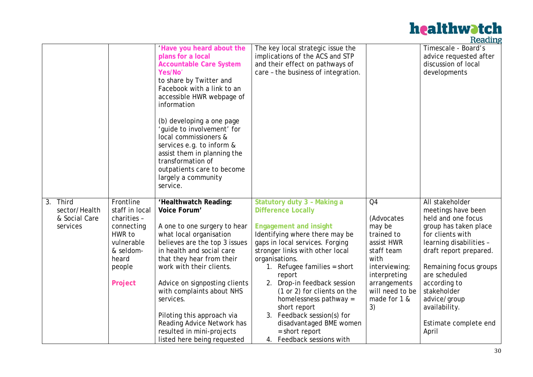|                                                                                                                                                                                                                                                                                                                                                                                                                                                                    | reading                                                                              |
|--------------------------------------------------------------------------------------------------------------------------------------------------------------------------------------------------------------------------------------------------------------------------------------------------------------------------------------------------------------------------------------------------------------------------------------------------------------------|--------------------------------------------------------------------------------------|
| Have you heard about the<br>The key local strategic issue the<br>implications of the ACS and STP<br>plans for a local<br>and their effect on pathways of<br><b>Accountable Care System</b><br>care - the business of integration.<br>Yes/No'<br>to share by Twitter and<br>Facebook with a link to an<br>accessible HWR webpage of<br>information<br>(b) developing a one page<br>'guide to involvement' for<br>local commissioners &<br>services e.g. to inform & | Timescale - Board's<br>advice requested after<br>discussion of local<br>developments |
| assist them in planning the<br>transformation of<br>outpatients care to become<br>largely a community<br>service.                                                                                                                                                                                                                                                                                                                                                  |                                                                                      |
| Frontline<br>Statutory duty 3 - Making a<br>Third<br>Q <sub>4</sub><br>3.<br>'Healthwatch Reading:<br>sector/Health<br>staff in local<br>Voice Forum'<br><b>Difference Locally</b><br>& Social Care<br>charities -<br>(Advocates                                                                                                                                                                                                                                   | All stakeholder<br>meetings have been<br>held and one focus                          |
| A one to one surgery to hear<br><b>Engagement and insight</b><br>may be<br>services<br>connecting                                                                                                                                                                                                                                                                                                                                                                  | group has taken place                                                                |
| HWR to<br>what local organisation<br>Identifying where there may be<br>trained to                                                                                                                                                                                                                                                                                                                                                                                  | for clients with                                                                     |
| vulnerable<br>believes are the top 3 issues<br>gaps in local services. Forging<br>assist HWR                                                                                                                                                                                                                                                                                                                                                                       | learning disabilities -                                                              |
| & seldom-<br>in health and social care<br>stronger links with other local<br>staff team<br>heard<br>with                                                                                                                                                                                                                                                                                                                                                           | draft report prepared.                                                               |
| that they hear from their<br>organisations.<br>work with their clients.<br>1. Refugee families = short<br>people<br>interviewing;                                                                                                                                                                                                                                                                                                                                  | Remaining focus groups                                                               |
| interpreting<br>report                                                                                                                                                                                                                                                                                                                                                                                                                                             | are scheduled                                                                        |
| Advice on signposting clients<br>2. Drop-in feedback session<br>Project<br>arrangements<br>(1 or 2) for clients on the<br>will need to be<br>with complaints about NHS<br>services.<br>homelessness pathway $=$<br>made for 1 &<br>short report<br>3)                                                                                                                                                                                                              | according to<br>stakeholder<br>advice/group<br>availability.                         |
| Piloting this approach via<br>3. Feedback session(s) for                                                                                                                                                                                                                                                                                                                                                                                                           |                                                                                      |
|                                                                                                                                                                                                                                                                                                                                                                                                                                                                    | Estimate complete end                                                                |
| Reading Advice Network has<br>disadvantaged BME women<br>resulted in mini-projects<br>$=$ short report                                                                                                                                                                                                                                                                                                                                                             | April                                                                                |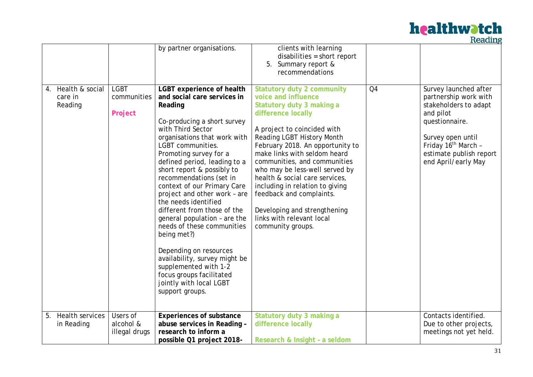

|                                             |                                        |                                                                                                                                                                                                                                                                                                                                                                                                                                                                                                                                                                                                                                                                                |                                                                                                                                                                                                                                                                                                                                                                                                                                                                                                   |    | reading                                                                                                                                                                                                          |
|---------------------------------------------|----------------------------------------|--------------------------------------------------------------------------------------------------------------------------------------------------------------------------------------------------------------------------------------------------------------------------------------------------------------------------------------------------------------------------------------------------------------------------------------------------------------------------------------------------------------------------------------------------------------------------------------------------------------------------------------------------------------------------------|---------------------------------------------------------------------------------------------------------------------------------------------------------------------------------------------------------------------------------------------------------------------------------------------------------------------------------------------------------------------------------------------------------------------------------------------------------------------------------------------------|----|------------------------------------------------------------------------------------------------------------------------------------------------------------------------------------------------------------------|
|                                             |                                        | by partner organisations.                                                                                                                                                                                                                                                                                                                                                                                                                                                                                                                                                                                                                                                      | clients with learning<br>$disabilities = short report$<br>5. Summary report &<br>recommendations                                                                                                                                                                                                                                                                                                                                                                                                  |    |                                                                                                                                                                                                                  |
| Health & social<br>4.<br>care in<br>Reading | <b>LGBT</b><br>communities<br>Project  | <b>LGBT</b> experience of health<br>and social care services in<br>Reading<br>Co-producing a short survey<br>with Third Sector<br>organisations that work with<br><b>LGBT</b> communities.<br>Promoting survey for a<br>defined period, leading to a<br>short report & possibly to<br>recommendations (set in<br>context of our Primary Care<br>project and other work - are<br>the needs identified<br>different from those of the<br>general population - are the<br>needs of these communities<br>being met?)<br>Depending on resources<br>availability, survey might be<br>supplemented with 1-2<br>focus groups facilitated<br>jointly with local LGBT<br>support groups. | <b>Statutory duty 2 community</b><br>voice and influence<br>Statutory duty 3 making a<br>difference locally<br>A project to coincided with<br>Reading LGBT History Month<br>February 2018. An opportunity to<br>make links with seldom heard<br>communities, and communities<br>who may be less-well served by<br>health & social care services,<br>including in relation to giving<br>feedback and complaints.<br>Developing and strengthening<br>links with relevant local<br>community groups. | Q4 | Survey launched after<br>partnership work with<br>stakeholders to adapt<br>and pilot<br>questionnaire.<br>Survey open until<br>Friday 16 <sup>th</sup> March -<br>estimate publish report<br>end April/early May |
| 5. Health services<br>in Reading            | Users of<br>alcohol &<br>illegal drugs | <b>Experiences of substance</b><br>abuse services in Reading -<br>research to inform a<br>possible Q1 project 2018-                                                                                                                                                                                                                                                                                                                                                                                                                                                                                                                                                            | Statutory duty 3 making a<br>difference locally<br>Research & Insight - a seldom                                                                                                                                                                                                                                                                                                                                                                                                                  |    | Contacts identified.<br>Due to other projects,<br>meetings not yet held.                                                                                                                                         |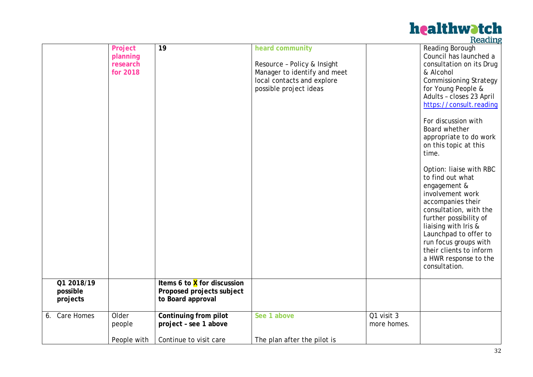|    |                                    |                                             |                                                                                     |                                                                                                                                        |                           | vegants                                                                                                                                                                                                                                                                                                                                                                                                                                                                                                                                                                                                         |
|----|------------------------------------|---------------------------------------------|-------------------------------------------------------------------------------------|----------------------------------------------------------------------------------------------------------------------------------------|---------------------------|-----------------------------------------------------------------------------------------------------------------------------------------------------------------------------------------------------------------------------------------------------------------------------------------------------------------------------------------------------------------------------------------------------------------------------------------------------------------------------------------------------------------------------------------------------------------------------------------------------------------|
|    | Q1 2018/19<br>possible<br>projects | Project<br>planning<br>research<br>for 2018 | 19<br>Items 6 to X for discussion<br>Proposed projects subject<br>to Board approval | heard community<br>Resource - Policy & Insight<br>Manager to identify and meet<br>local contacts and explore<br>possible project ideas |                           | Reading Borough<br>Council has launched a<br>consultation on its Drug<br>& Alcohol<br><b>Commissioning Strategy</b><br>for Young People &<br>Adults - closes 23 April<br>https://consult.reading<br>For discussion with<br>Board whether<br>appropriate to do work<br>on this topic at this<br>time.<br>Option: liaise with RBC<br>to find out what<br>engagement &<br>involvement work<br>accompanies their<br>consultation, with the<br>further possibility of<br>liaising with Iris &<br>Launchpad to offer to<br>run focus groups with<br>their clients to inform<br>a HWR response to the<br>consultation. |
|    |                                    |                                             |                                                                                     |                                                                                                                                        |                           |                                                                                                                                                                                                                                                                                                                                                                                                                                                                                                                                                                                                                 |
| 6. | Care Homes                         | Older<br>people                             | Continuing from pilot<br>project - see 1 above                                      | See 1 above                                                                                                                            | Q1 visit 3<br>more homes. |                                                                                                                                                                                                                                                                                                                                                                                                                                                                                                                                                                                                                 |
|    |                                    | People with                                 | Continue to visit care                                                              | The plan after the pilot is                                                                                                            |                           |                                                                                                                                                                                                                                                                                                                                                                                                                                                                                                                                                                                                                 |